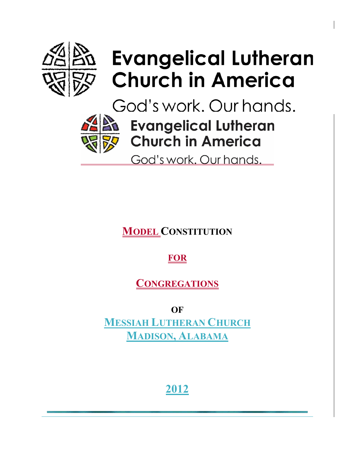

# Evangelical Lutheran لا **Church in America**

God's work. Our hands.



**All Evangelical Lutheran Church in America** 

God's work. Our hands.

**MODEL CONSTITUTION**

**FOR**

**CONGREGATIONS**

**OF MESSIAH LUTHERAN CHURCH MADISON, ALABAMA**

**2012**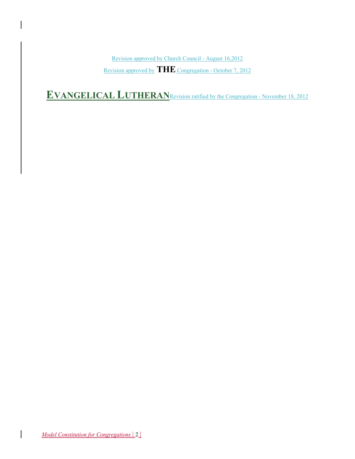Revision approved by Church Council - August 16,2012 Revision approved by **THE** Congregation - October 7, 2012

**EVANGELICAL LUTHERAN**Revision ratified by the Congregation - November 18, 2012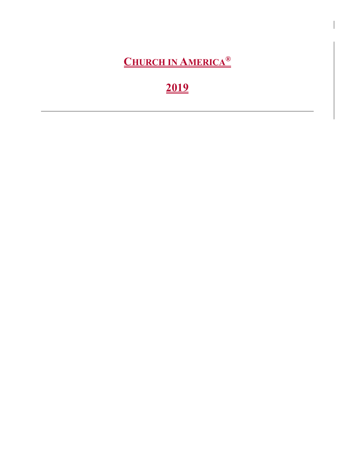**CHURCH IN AMERICA®**

## **2019**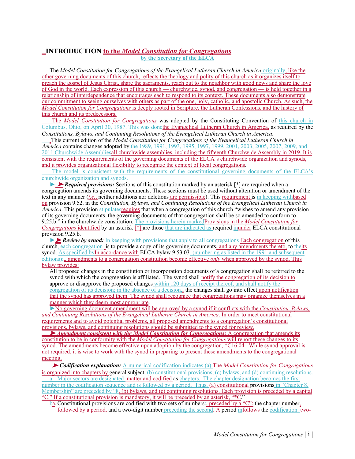### **INTRODUCTION to the** *Model Constitution for Congregations* **by the Secretary of the ELCA**

The *Model Constitution for Congregations of the Evangelical Lutheran Church in America originally, like the* other governing documents of this church, reflects the theology and polity of this church as it organizes itself to preach the gospel of Jesus Christ, share the sacraments, reach out to the neighbor with good news and share the love of God in the world. Each expression of this church — churchwide, synod, and congregation — is held together in a relationship of interdependence that encourages each to respond to its context. These documents also demonstrate our commitment to seeing ourselves with others as part of the one, holy, catholic, and apostolic Church. As such, the *Model Constitution for Congregations* is deeply rooted in Scripture, the Lutheran Confessions, and the history of this church and its predecessors.

The *Model Constitution for Congregations* was adopted by the Constituting Convention of this church in Columbus, Ohio, on April 30, 1987. This was donethe Evangelical Lutheran Church in America, as required by the *Constitutions, Bylaws, and Continuing Resolutions of the Evangelical Lutheran Church in America*.

This current edition of the *Model Constitution for Congregations of the Evangelical Lutheran Church in America* contains changes adopted by the 1989, 1991, 1993, 1995, 1997, 1999, 2001, 2003, 2005, 2007, 2009, and 2011 Churchwide Assembliesall churchwide assemblies, including the fifteenth Churchwide Assembly in 2019. It is consistent with the requirements of the governing documents of the ELCA's churchwide organization and synods, and it provides organizational flexibility to recognize the context of local congregations.

The model is consistent with the requirements of the constitutional governing documents of the ELCA's churchwide organization and synods.

► ➤ *Required provisions:* Sections of this constitution marked by an asterisk [\*] are required when a congregation amends its governing documents. These sections must be used without alteration or amendment of the text in any manner (*i.e.*, neither additions nor deletions are permissible). This requirement is in keeping withbased on provision 9.52. in the *Constitution, Bylaws, and Continuing Resolutions of the Evangelical Lutheran Church in America*. This provision stipulatesrequires that when a congregation of this church "wishes to amend any provision of its governing documents, the governing documents of that congregation shall be so amended to conform to 9.25.b." in the churchwide constitution. The provisions herein markedProvisions in the *Model Constitution for Congregations* identified by an asterisk [\*] are those that are indicated as required inunder ELCA constitutional provision 9.25.b.

►➤ *Review by synod:* In keeping with provisions that apply to all congregations Each congregation of this church, each congregation is to provide a copy of its governing documents, and any amendments thereto, to theits synod. As specified byIn accordance with ELCA bylaw 9.53.03. (numbering as listed in the 1991 and subsequent editions):., amendments to a congregation constitution become effective *only* when approved by the synod. This bylaw provides:

All proposed changes in the constitution or incorporation documents of a congregation shall be referred to the synod with which the congregation is affiliated. The synod shall notify the congregation of its decision to approve or disapprove the proposed changes within 120 days of receipt thereof, and shall notify the congregation of its decision; in the absence of a decision,; the changes shall go into effect upon notification that the synod has approved them. The synod shall recognize that congregations may organize themselves in a manner which they deem most appropriate.

►No governing document amendment will be approved by a synod if it conflicts with the *Constitution, Bylaws, and Continuing Resolutions of the Evangelical Lutheran Church in America*. In order to meet constitutional requirements and to avoid potential problems, all proposed amendments to a congregation's constitutional provisions, bylaws, and continuing resolutions should be submitted to the synod for review.

➤ *Amendment consistent with the Model Constitution for Congregations:* A congregation that amends its constitution to be in conformity with the *Model Constitution for Congregations* will report these changes to its synod. The amendments become effective upon adoption by the congregation, \*C16.04. While synod approval is not required, it is wise to work with the synod in preparing to present these amendments to the congregational meeting.

➤ *Codification explanation:* A numerical codification indicates (a) The *Model Constitution for Congregations* is organized into chapters by general subject, (b) constitutional provisions, (c) bylaws, and (d) continuing resolutions. a. Major sectors are designated matter and codified as chapters. The chapter designation becomes the first number in the codification sequence and is followed by a period. Thus, (a) constitutional provisions in "Chapter 8. Membership" are preceded by "8, (b) bylaws, and (c) continuing resolutions. Each provision is preceded by a capital "C." If a constitutional provision is mandatory, it will be preceded by an asterisk, "\*C."

 $\frac{b_a}{b_a}$ . Constitutional provisions are codified with two sets of numbers:, preceded by a "C": the chapter number, followed by a period, and a two-digit number preceding the second. A period infollows the codification. two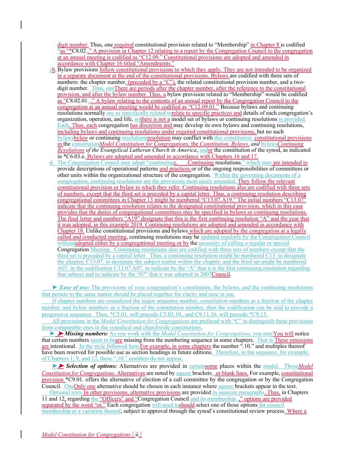digit number. Thus, one required constitutional provision related to "Membership" in Chapter 8 is codified \*as "\*C8.02.." A provision in Chapter 12 relating to a report by the Congregation Council to the congregation at an annual meeting is codified as "C12.09." Constitutional provisions are adopted and amended in accordance with Chapter 16 titled "Amendments."

- cb.Bylaw provisions follow constitutional provisions to which they apply. They are not intended to be organized in a separate document at the end of the constitutional provisions. Bylaws are codified with three sets of numbers: the chapter number, (preceded by a "C"), the related constitutional provision number, and a twodigit number. Thus, one There are periods after the chapter number, after the reference to the constitutional provision, and after the bylaw number. Thus, a bylaw provision related to "Membership" would be codified as "C8.02.01. ." A bylaw relating to the contents of an annual report by the Congregation Council to the congregation at an annual meeting would be codified as "C12.09.01." Because bylaws and continuing resolutions normally are so specifically related torelate to specific practices and details of each congregation's organization, operation, and life, nothere is not a model set of bylaws or continuing resolutions is provided. Each. Thus, each congregation has discretion and may develop its own bylaws and continuing resolutions, including bylaws and continuing resolutions under required constitutional provisions, but no such bylawsbylaw or continuing resolutionsresolution may conflict with this constitution, constitutional provisions in the constitution*Model Constitution for Congregations*, the *Constitution, Bylaws, and* bylaws*Continuing Resolutions of the Evangelical Lutheran Church in America*, andor the constitution of the synod, as indicated in \*C6.03.e. Bylaws are adopted and amended in accordance with Chapters 16 and 17.
- d. The Congregation Council may adopt "continuingc. Continuing resolutions," which may are intended to provide descriptions of operational patterns and practices or of the ongoing responsibilities of committees or other units within the organizational structure of the congregation. Within the governing documents of a congregation, continuing resolutions are the provisions most easily amended. They follow the relevant constitutional provision or bylaw to which they refer. Continuing resolutions also are codified with three sets of numbers, except that the third set is preceded by a capital letter. Thus, a continuing resolution describing congregational committees in Chapter 13 might be numbered "C13.07.A19." The initial numbers "C13.07" indicate that the continuing resolution relates to the designated constitutional provision, which in this case provides that the duties of congregational committees may be specified in bylaws or continuing resolutions. The final letter and numbers "A19" designate that this is the first continuing resolution "A" and the year that it was adopted, in this example 2019. Continuing resolutions are adopted and amended in accordance with Chapter 18. Unlike constitutional provisions and bylaws which are adopted by the congregation at a legally called and conducted meeting, continuing resolutions may be updated regularly by the Congregation Council without adopted either by a congregational meeting or by the necessity of calling a regular or special Congregation Meeting. Continuing resolutions also are codified with three sets of numbers except that the third set is preceded by a capital letter. Thus, a continuing resolution might be numbered C13. to designate the chapter; C13.07. to designate the subject matter within the chapter; and the third set might be numbered A07. in the codification C13.07.A07. to indicate by the "A" that it is the first continuing resolution regarding that subject and to indicate by the "07" that it was adopted in 2007Council.

► *Ease of use:* The provisions of your congregation's constitution, the bylaws, and the continuing resolutions that pertain to the same matter should be placed together for clarity and ease in use.

If chapter numbers are considered the major sequence number, constitution numbers as a fraction of the chapter number, and bylaw numbers as a fraction of the constitution number, then the codification can be said to provide a progressive sequence. Thus, \*C5.01. will precede C5.03.10., and C9.11.16. will precede \*C9.13.

All provisions in the *Model Constitution for Congregations* are prefaced with "C" to distinguish these provisions from comparable ones in the synodical and churchwide constitutions.

► ➤ *Missing numbers:* As you work with the *Model Constitution for Congregations*, you mayYou will notice that certain numbers seem to beare missing from the numbering sequence in some chapters. That is These omissions are intentional. In the style followed here, For example, in some chapters the number ".10." and multiples thereof have been reserved for possible use as section headings in future editions. Therefore, in the sequence, for example, of Chapters 1, 9, and 12, these ".10." numbers do not appear.

►➤ *Selection of options:* Alternatives are provided in certainsome places within the model. Those*Model Constitution for Congregations*. Alternatives are noted by square brackets. or blank lines. For example, constitutional provision \*C9.01. offers the alternative of election of a call committee by the congregation or by the Congregation Council. OneOnly one alternative should be chosen in each instance where square brackets appear in the text.

Optional texts In other provisions, alternative provisions are provided in separate paragraphs. Thus, in Chapters 11 and 12, regarding the "Officers" and "Congregation Council and its membership. ," options are provided separated by the word "or." Each congregation will need to should select one of those options for council membership or a variation thereof, subject to approval through the synod's constitutional review process. Where a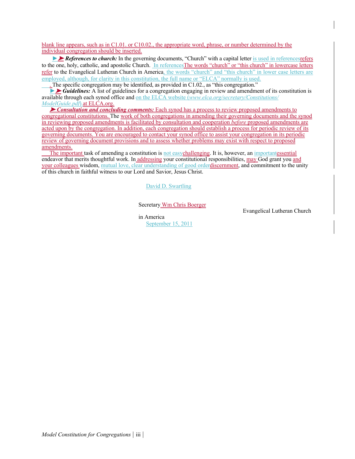blank line appears, such as in C1.01. or C10.02., the appropriate word, phrase, or number determined by the individual congregation should be inserted.

► *References to church:* In the governing documents, "Church" with a capital letter is used in references referse to the one, holy, catholic, and apostolic Church. In references The words "church" or "this church" in lowercase letters refer to the Evangelical Lutheran Church in America, the words "church" and "this church" in lower case letters are employed, although, for clarity in this constitution, the full name or "ELCA" normally is used.

. The specific congregation may be identified, as provided in C1.02., as "this congregation."

►➤ *Guidelines:* A list of guidelines for a congregation engaging in review and amendment of its constitution is available through each synod office and on the ELCA website (*www.elca.org/secretary/Constitutions/ ModelGuide.pdf*).at ELCA.org.

► *Consultation and concluding comments:* Each synod has a process to review proposed amendments to congregational constitutions. The work of both congregations in amending their governing documents and the synod in reviewing proposed amendments is facilitated by consultation and cooperation *before* proposed amendments are acted upon by the congregation. In addition, each congregation should establish a process for periodic review of its governing documents. You are encouraged to contact your synod office to assist your congregation in its periodic review of governing document provisions and to assess whether problems may exist with respect to proposed amendments.

The important task of amending a constitution is not easychallenging. It is, however, an importantessential endeavor that merits thoughtful work. In addressing your constitutional responsibilities, may God grant you and your colleagues wisdom, mutual love, clear understanding of good orderdiscernment, and commitment to the unity of this church in faithful witness to our Lord and Savior, Jesus Christ.

David D. Swartling

Secretary Wm Chris Boerger

Evangelical Lutheran Church

in America September 15, 2011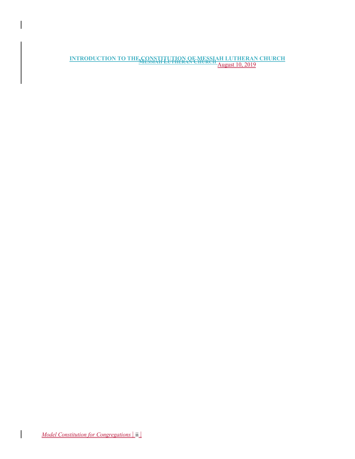**INTRODUCTION TO THE CONSTITUTION OF MESSIAH LUTHERAN CHURCH MESSIAH LUTHERAN CHURCH** August 10, 2019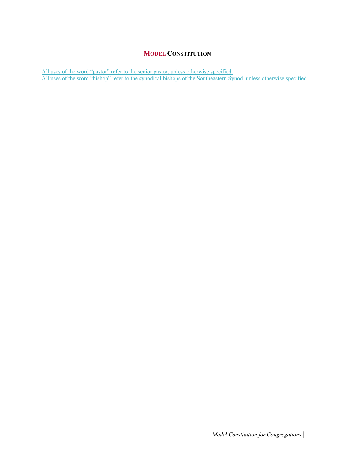### **MODEL CONSTITUTION**

All uses of the word "pastor" refer to the senior pastor, unless otherwise specified. All uses of the word "bishop" refer to the synodical bishops of the Southeastern Synod, unless otherwise specified.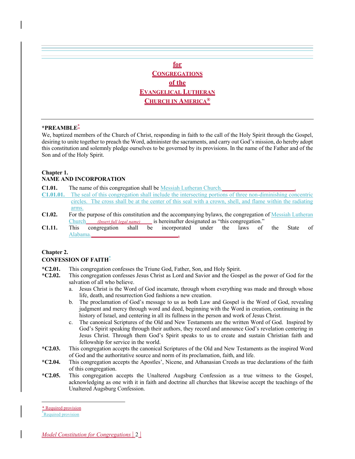### **for CONGREGATIONS of the EVANGELICAL LUTHERAN CHURCH IN AMERICA®**

### **\*PREAMBLE**\*

We, baptized members of the Church of Christ, responding in faith to the call of the Holy Spirit through the Gospel, desiring to unite together to preach the Word, administer the sacraments, and carry out God's mission, do hereby adopt this constitution and solemnly pledge ourselves to be governed by its provisions. In the name of the Father and of the Son and of the Holy Spirit.

### **Chapter 1.**

### **NAME AND INCORPORATION**

**C1.01.** The name of this congregation shall be Messiah Lutheran Church.

- **C1.01.01.** The seal of this congregation shall include the intersecting portions of three non-diminishing concentric circles. The cross shall be at the center of this seal with a crown, shell, and flame within the radiating arms.
- **C1.02.** For the purpose of this constitution and the accompanying bylaws, the congregation of Messiah Lutheran Church*(Insert full legal name)*is hereinafter designated as "this congregation."
- **C1.11.** This congregation shall be incorporated under the laws of the State of Alabama.**\_\_\_\_\_\_\_\_\_\_\_\_\_\_\_\_\_\_\_\_\_\_\_\_\_\_\_\_\_\_**.

### **Chapter 2.**

### **CONFESSION OF FAITH**\*

- **\*C2.01.** This congregation confesses the Triune God, Father, Son, and Holy Spirit.
- **\*C2.02.** This congregation confesses Jesus Christ as Lord and Savior and the Gospel as the power of God for the salvation of all who believe.
	- a. Jesus Christ is the Word of God incarnate, through whom everything was made and through whose life, death, and resurrection God fashions a new creation.
	- b. The proclamation of God's message to us as both Law and Gospel is the Word of God, revealing judgment and mercy through word and deed, beginning with the Word in creation, continuing in the history of Israel, and centering in all its fullness in the person and work of Jesus Christ.
	- c. The canonical Scriptures of the Old and New Testaments are the written Word of God. Inspired by God's Spirit speaking through their authors, they record and announce God's revelation centering in Jesus Christ. Through them God's Spirit speaks to us to create and sustain Christian faith and fellowship for service in the world.
- **\*C2.03.** This congregation accepts the canonical Scriptures of the Old and New Testaments as the inspired Word of God and the authoritative source and norm of its proclamation, faith, and life.
- **\*C2.04.** This congregation accepts the Apostles', Nicene, and Athanasian Creeds as true declarations of the faith of this congregation.
- **\*C2.05.** This congregation accepts the Unaltered Augsburg Confession as a true witness to the Gospel, acknowledging as one with it in faith and doctrine all churches that likewise accept the teachings of the Unaltered Augsburg Confession.

<sup>\*</sup> Required provision

<sup>\*</sup> Required provision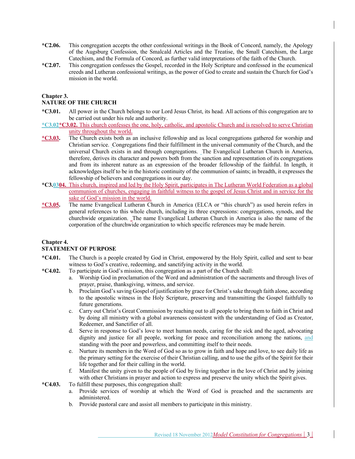- **\*C2.06.** This congregation accepts the other confessional writings in the Book of Concord, namely, the Apology of the Augsburg Confession, the Smalcald Articles and the Treatise, the Small Catechism, the Large Catechism, and the Formula of Concord, as further valid interpretations of the faith of the Church.
- **\*C2.07.** This congregation confesses the Gospel, recorded in the Holy Scripture and confessed in the ecumenical creeds and Lutheran confessional writings, as the power of God to create and sustain the Church for God's mission in the world.

### **Chapter 3.**

### **NATURE OF THE CHURCH**

- **\*C3.01.** All power in the Church belongs to our Lord Jesus Christ, its head. All actions of this congregation are to be carried out under his rule and authority.
- **\*C3.02\*C3.02.** This church confesses the one, holy, catholic, and apostolic Church and is resolved to serve Christian unity throughout the world.
- **\*C3.03.** The Church exists both as an inclusive fellowship and as local congregations gathered for worship and Christian service. Congregations find their fulfillment in the universal community of the Church, and the universal Church exists in and through congregations. The Evangelical Lutheran Church in America, therefore, derives its character and powers both from the sanction and representation of its congregations and from its inherent nature as an expression of the broader fellowship of the faithful. In length, it acknowledges itself to be in the historic continuity of the communion of saints; in breadth, it expresses the fellowship of believers and congregations in our day.
- **\*C3.0304.** This church, inspired and led by the Holy Spirit, participates in The Lutheran World Federation as a global communion of churches, engaging in faithful witness to the gospel of Jesus Christ and in service for the sake of God's mission in the world.
- **\*C3.05.** The name Evangelical Lutheran Church in America (ELCA or "this church") as used herein refers in general references to this whole church, including its three expressions: congregations, synods, and the churchwide organization. The name Evangelical Lutheran Church in America is also the name of the corporation of the churchwide organization to which specific references may be made herein.

### **Chapter 4.**

### **STATEMENT OF PURPOSE**

- **\*C4.01.** The Church is a people created by God in Christ, empowered by the Holy Spirit, called and sent to bear witness to God's creative, redeeming, and sanctifying activity in the world.
- **\*C4.02.** To participate in God's mission, this congregation as a part of the Church shall:
	- a. Worship God in proclamation of the Word and administration of the sacraments and through lives of prayer, praise, thanksgiving, witness, and service.
	- b. Proclaim God's saving Gospel of justification by grace for Christ's sake through faith alone, according to the apostolic witness in the Holy Scripture, preserving and transmitting the Gospel faithfully to future generations.
	- c. Carry out Christ's Great Commission by reaching out to all people to bring them to faith in Christ and by doing all ministry with a global awareness consistent with the understanding of God as Creator, Redeemer, and Sanctifier of all.
	- d. Serve in response to God's love to meet human needs, caring for the sick and the aged, advocating dignity and justice for all people, working for peace and reconciliation among the nations, and standing with the poor and powerless, and committing itself to their needs.
	- e. Nurture its members in the Word of God so as to grow in faith and hope and love, to see daily life as the primary setting for the exercise of their Christian calling, and to use the gifts of the Spirit for their life together and for their calling in the world.
	- f. Manifest the unity given to the people of God by living together in the love of Christ and by joining with other Christians in prayer and action to express and preserve the unity which the Spirit gives.
- **\*C4.03.** To fulfill these purposes, this congregation shall:
	- a. Provide services of worship at which the Word of God is preached and the sacraments are administered.
	- b. Provide pastoral care and assist all members to participate in this ministry.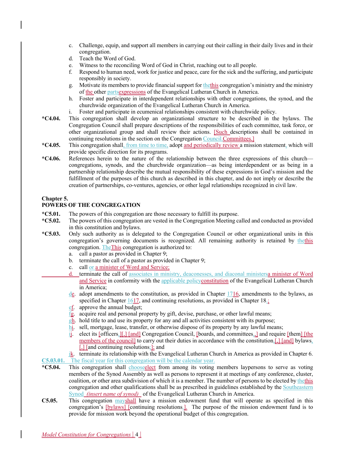- c. Challenge, equip, and support all members in carrying out their calling in their daily lives and in their congregation.
- d. Teach the Word of God.
- e. Witness to the reconciling Word of God in Christ, reaching out to all people.
- f. Respond to human need, work for justice and peace, care for the sick and the suffering, and participate responsibly in society.
- g. Motivate its members to provide financial support for the this congregation's ministry and the ministry of the other partsexpressions of the Evangelical Lutheran Church in America.
- h. Foster and participate in interdependent relationships with other congregations, the synod, and the churchwide organization of the Evangelical Lutheran Church in America.
- i. Foster and participate in ecumenical relationships consistent with churchwide policy.
- **\*C4.04.** This congregation shall develop an organizational structure to be described in the bylaws. The Congregation Council shall prepare descriptions of the responsibilities of each committee, task force, or other organizational group and shall review their actions. [Such descriptions shall be contained in continuing resolutions in the section on the Congregation Council.Committees.]
- **\*C4.05.** This congregation shall, from time to time, adopt and periodically review a mission statement, which will provide specific direction for its programs.
- **\*C4.06.** References herein to the nature of the relationship between the three expressions of this church congregations, synods, and the churchwide organization—as being interdependent or as being in a partnership relationship describe the mutual responsibility of these expressions in God's mission and the fulfillment of the purposes of this church as described in this chapter, and do not imply or describe the creation of partnerships, co-ventures, agencies, or other legal relationships recognized in civil law.

### **Chapter 5.**

### **POWERS OF THE CONGREGATION**

- **\*C5.01.** The powers of this congregation are those necessary to fulfill its purpose.
- **\*C5.02.** The powers of this congregation are vested in the Congregation Meeting called and conducted as provided in this constitution and bylaws.
- **\*C5.03.** Only such authority as is delegated to the Congregation Council or other organizational units in this congregation's governing documents is recognized. All remaining authority is retained by thethis congregation. TheThis congregation is authorized to:
	- a. call a pastor as provided in Chapter 9;
	- b. terminate the call of a pastor as provided in Chapter 9;
	- c. call or a minister of Word and Service;
	- terminate the call of associates in ministry, deaconesses, and diaconal ministersa minister of Word and Service in conformity with the applicable policyconstitution of the Evangelical Lutheran Church in America;
	- $\text{d}\mathbf{e}$ . adopt amendments to the constitution, as provided in Chapter 1716, amendments to the bylaws, as specified in Chapter 1617, and continuing resolutions, as provided in Chapter 18.;
	- ef. approve the annual budget;
	- fg. acquire real and personal property by gift, devise, purchase, or other lawful means;
	- gh. hold title to and use its property for any and all activities consistent with its purpose;
	- hi. sell, mortgage, lease, transfer, or otherwise dispose of its property by any lawful means;
	- ij. elect its [officers,][,] [and] Congregation Council, [boards, and committees, ] and require [them] [the members of the council] to carry out their duties in accordance with the constitution, [,] [and] bylaws, [,] [and continuing resolutions;]; and

jk. terminate its relationship with the Evangelical Lutheran Church in America as provided in Chapter 6. **C5.03.01.** The fiscal year for this congregation will be the calendar year.

- **\*C5.04.** This congregation shall chooseelect from among its voting members laypersons to serve as voting members of the Synod Assembly as well as persons to represent it at meetings of any conference, cluster, coalition, or other area subdivision of which it is a member. The number of persons to be elected by thethis congregation and other qualifications shall be as prescribed in guidelines established by the Southeastern Synod *(insert name of synod)* of the Evangelical Lutheran Church in America.
- **C5.05.** This congregation mayshall have a mission endowment fund that will operate as specified in this congregation's [bylaws] [continuing resolutions.]. The purpose of the mission endowment fund is to provide for mission work beyond the operational budget of this congregation.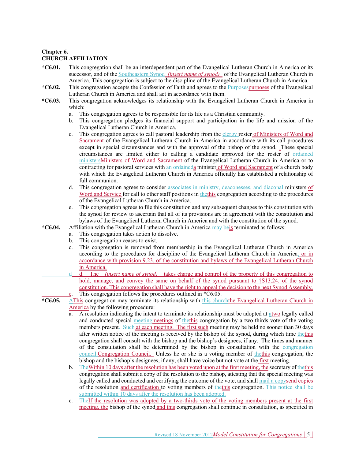### **Chapter 6. CHURCH AFFILIATION**

- **\*C6.01.** This congregation shall be an interdependent part of the Evangelical Lutheran Church in America or its successor, and of the **Southeastern Synod** *(insert name of synod)* of the Evangelical Lutheran Church in America. This congregation is subject to the discipline of the Evangelical Lutheran Church in America.
- **\*C6.02.** This congregation accepts the Confession of Faith and agrees to the Purposespurposes of the Evangelical Lutheran Church in America and shall act in accordance with them.
- **\*C6.03.** This congregation acknowledges its relationship with the Evangelical Lutheran Church in America in which:
	- a. This congregation agrees to be responsible for its life as a Christian community.
	- b. This congregation pledges its financial support and participation in the life and mission of the Evangelical Lutheran Church in America.
	- c. This congregation agrees to call pastoral leadership from the clergy roster of Ministers of Word and Sacrament of the Evangelical Lutheran Church in America in accordance with its call procedures except in special circumstances and with the approval of the bishop of the synod. These special circumstances are limited either to calling a candidate approved for the roster of ordained ministersMinisters of Word and Sacrament of the Evangelical Lutheran Church in America or to contracting for pastoral services with an ordaineda minister of Word and Sacrament of a church body with which the Evangelical Lutheran Church in America officially has established a relationship of full communion.
	- d. This congregation agrees to consider associates in ministry, deaconesses, and diaconal ministers of Word and Service for call to other staff positions in thethis congregation according to the procedures of the Evangelical Lutheran Church in America.
	- e. This congregation agrees to file this constitution and any subsequent changes to this constitution with the synod for review to ascertain that all of its provisions are in agreement with the constitution and bylaws of the Evangelical Lutheran Church in America and with the constitution of the synod.
- **\*C6.04.** Affiliation with the Evangelical Lutheran Church in America may beis terminated as follows:
	- a. This congregation takes action to dissolve.
	- b. This congregation ceases to exist.
	- c. This congregation is removed from membership in the Evangelical Lutheran Church in America according to the procedures for discipline of the Evangelical Lutheran Church in America. or in accordance with provision 9.23. of the constitution and bylaws of the Evangelical Lutheran Church in America.
	- d. The *(insert name of synod)* takes charge and control of the property of this congregation to hold, manage, and convey the same on behalf of the synod pursuant to †S13.24. of the synod constitution. This congregation shall have the right to appeal the decision to the next Synod Assembly. This congregation follows the procedures outlined in \*C6.05.
- **\*C6.05.** AThis congregation may terminate its relationship with this churchthe Evangelical Lutheran Church in America by the following procedure:
	- a. A resolution indicating the intent to terminate its relationship must be adopted at atwo legally called and conducted special meetingmeetings of thethis congregation by a two-thirds vote of the voting members present. Such at each meeting. The first such meeting may be held no sooner than 30 days after written notice of the meeting is received by the bishop of the synod, during which time thethis congregation shall consult with the bishop and the bishop's designees, if any. The times and manner of the consultation shall be determined by the bishop in consultation with the congregation council. Congregation Council. Unless he or she is a voting member of thethis congregation, the bishop and the bishop's designees, if any, shall have voice but not vote at the first meeting.
	- b. TheWithin 10 days after the resolution has been voted upon at the first meeting, the secretary of thethis congregation shall submit a copy of the resolution to the bishop, attesting that the special meeting was legally called and conducted and certifying the outcome of the vote, and shall mail a copysend copies of the resolution and certification to voting members of thethis congregation. This notice shall be submitted within 10 days after the resolution has been adopted.
	- c. The If the resolution was adopted by a two-thirds vote of the voting members present at the first meeting, the bishop of the synod and this congregation shall continue in consultation, as specified in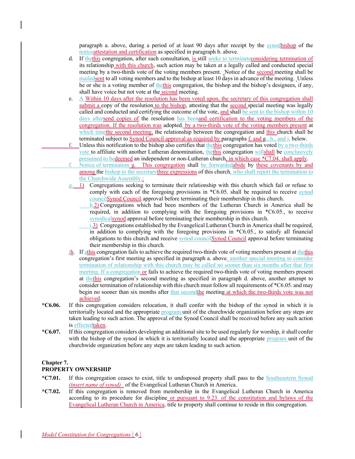paragraph a. above, during a period of at least 90 days after receipt by the synodbishop of the noticeattestation and certification as specified in paragraph b. above.

- d. If thethis congregation, after such consultation, is still seeks to terminate considering termination of its relationship with this church, such action may be taken at a legally called and conducted special meeting by a two-thirds vote of the voting members present. Notice of the second meeting shall be mailedsent to all voting members and to the bishop at least 10 days in advance of the meeting. Unless he or she is a voting member of thethis congregation, the bishop and the bishop's designees, if any, shall have voice but not vote at the second meeting.
- e. A Within 10 days after the resolution has been voted upon, the secretary of this congregation shall submit a copy of the resolution to the bishop, attesting that the second special meeting was legally called and conducted and certifying the outcome of the vote, and shall be sent to the bishop within 10 days aftersend copies of the resolution has beenand certification to the voting members of the congregation. If the resolution was adopted, by a two-thirds vote of the voting members present at which timethe second meeting, the relationship between the congregation and this church shall be terminated subject to Synod Council approval as required by paragraphs f. and g., h., and i. below.
- f. Unless this notification to the bishop also certifies that the this congregation has voted by a two-thirds vote to affiliate with another Lutheran denomination, the this congregation willshall be conclusively presumed to bedeemed an independent or non-Lutheran church, in which case \*C7.04. shall apply.
- Notice of termination g. This congregation shall be forwardedabide by these covenants by and among the bishop to the secretarythree expressions of this church, who shall report the termination to the Churchwide Assembly.:
- $g_i$  1) Congregations seeking to terminate their relationship with this church which fail or refuse to comply with each of the foregoing provisions in \*C6.05. shall be required to receive synod councilSynod Council approval before terminating their membership in this church.
	- h.2) Congregations which had been members of the Lutheran Church in America shall be required, in addition to complying with the foregoing provisions in \*C6.05., to receive synodicalsynod approval before terminating their membership in this church.
	- i.3) Congregations established by the Evangelical Lutheran Church in America shall be required, in addition to complying with the foregoing provisions in \*C6.05., to satisfy all financial obligations to this church and receive synod councilSynod Council approval before terminating their membership in this church.
- jh. If athis congregation fails to achieve the required two-thirds vote of voting members present at thethis congregation's first meeting as specified in paragraph a. above, another special meeting to consider termination of relationship with this church may be called no sooner than six months after that first meeting. If a congregation or fails to achieve the required two-thirds vote of voting members present at thethis congregation's second meeting as specified in paragraph d. above, another attempt to consider termination of relationship with this church must follow all requirements of \*C6.05. and may begin no sooner than six months after that second the meeting at which the two-thirds vote was not achieved.
- **\*C6.06.** If this congregation considers relocation, it shall confer with the bishop of the synod in which it is territorially located and the appropriate program unit of the churchwide organization before any steps are taken leading to such action. The approval of the Synod Council shall be received before any such action is effectedtaken.
- **\*C6.07.** If this congregation considers developing an additional site to be used regularly for worship, it shall confer with the bishop of the synod in which it is territorially located and the appropriate program unit of the churchwide organization before any steps are taken leading to such action.

### **Chapter 7.**

### **PROPERTY OWNERSHIP**

- **\*C7.01.** If this congregation ceases to exist, title to undisposed property shall pass to the Southeastern Synod *(insert name of synod)* of the Evangelical Lutheran Church in America.
- **\*C7.02.** If this congregation is removed from membership in the Evangelical Lutheran Church in America according to its procedure for discipline or pursuant to 9.23. of the constitution and bylaws of the Evangelical Lutheran Church in America, title to property shall continue to reside in this congregation.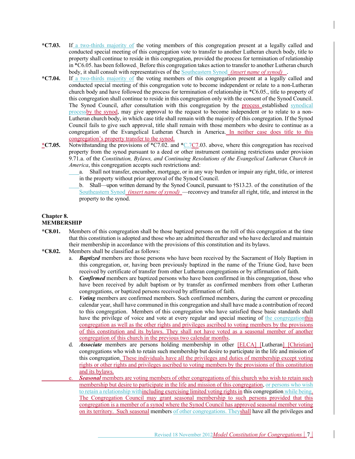- **\*C7.03.** If a two-thirds majority of the voting members of this congregation present at a legally called and conducted special meeting of this congregation vote to transfer to another Lutheran church body, title to property shall continue to reside in this congregation, provided the process for termination of relationship in \*C6.05. has been followed. Before this congregation takes action to transfer to another Lutheran church body, it shall consult with representatives of the Southeastern Synod *(insert name of synod)* .
- **\*C7.04.** If a two-thirds majority of the voting members of this congregation present at a legally called and conducted special meeting of this congregation vote to become independent or relate to a non-Lutheran church body and have followed the process for termination of relationship in \*C6.05., title to property of this congregation shall continue to reside in this congregation only with the consent of the Synod Council. The Synod Council, after consultation with this congregation by the process established synodical process by the synod, may give approval to the request to become independent or to relate to a non-Lutheran church body, in which case title shall remain with the majority of this congregation. If the Synod Council fails to give such approval, title shall remain with those members who desire to continue as a congregation of the Evangelical Lutheran Church in America. In neither case does title to this congregation's property transfer to the synod.
- **\*C7.05.** Notwithstanding the provisions of \*C7.02. and \*C.7C7.03. above, where this congregation has received property from the synod pursuant to a deed or other instrument containing restrictions under provision 9.71.a. of the *Constitution, Bylaws, and Continuing Resolutions of the Evangelical Lutheran Church in America*, this congregation accepts such restrictions and:
	- a. Shall not transfer, encumber, mortgage, or in any way burden or impair any right, title, or interest in the property without prior approval of the Synod Council.
	- b. Shall—upon written demand by the Synod Council, pursuant to †S13.23. of the constitution of the Southeastern Synod *(insert name of synod)* —reconvey and transfer all right, title, and interest in the property to the synod.

### **Chapter 8. MEMBERSHIP**

- **\*C8.01.** Members of this congregation shall be those baptized persons on the roll of this congregation at the time that this constitution is adopted and those who are admitted thereafter and who have declared and maintain their membership in accordance with the provisions of this constitution and its bylaws.
- **\*C8.02.** Members shall be classified as follows:
	- a. *Baptized* members are those persons who have been received by the Sacrament of Holy Baptism in this congregation, or, having been previously baptized in the name of the Triune God, have been received by certificate of transfer from other Lutheran congregations or by affirmation of faith.
	- b. *Confirmed* members are baptized persons who have been confirmed in this congregation, those who have been received by adult baptism or by transfer as confirmed members from other Lutheran congregations, or baptized persons received by affirmation of faith.
	- c. *Voting* members are confirmed members. Such confirmed members, during the current or preceding calendar year, shall have communed in this congregation and shall have made a contribution of record to this congregation. Members of this congregation who have satisfied these basic standards shall have the privilege of voice and vote at every regular and special meeting of the congregationthis congregation as well as the other rights and privileges ascribed to voting members by the provisions of this constitution and its bylaws. They shall not have voted as a seasonal member of another congregation of this church in the previous two calendar months.
	- d. *Associate* members are persons holding membership in other [ELCA] [Lutheran] [Christian] congregations who wish to retain such membership but desire to participate in the life and mission of this congregation. These individuals have all the privileges and duties of membership except voting rights or other rights and privileges ascribed to voting members by the provisions of this constitution and its bylaws.
	- **Seasonal** members are voting members of other congregations of this church who wish to retain such membership but desire to participate in the life and mission of this congregation, or persons who wish to retain a relationship withincluding exercising limited voting rights in this congregation while being. The Congregation Council may grant seasonal membership to such persons provided that this congregation is a member of a synod where the Synod Council has approved seasonal member voting on its territory. Such seasonal members of other congregations. Theyshall have all the privileges and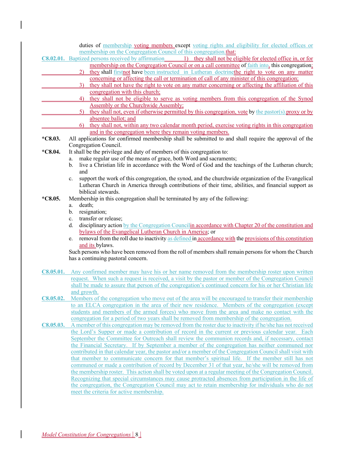duties of membership voting members except voting rights and eligibility for elected offices or membership on the Congregation Council of this congregation.that: **C8.02.01.** Baptized persons received by affirmation 1) they shall not be eligible for elected office in, or for membership on the Congregation Council or on a call committee of faith into, this congregation; 2) they shall firstnot have been instructed in Lutheran doctrinethe right to vote on any matter concerning or affecting the call or termination of call of any minister of this congregation; 3) they shall not have the right to vote on any matter concerning or affecting the affiliation of this congregation with this church; 4) they shall not be eligible to serve as voting members from this congregation of the Synod Assembly or the Churchwide Assembly; 5) they shall not, even if otherwise permitted by this congregation, vote by the pastor(s) proxy or by absentee ballot; and 6) they shall not, within any two calendar month period, exercise voting rights in this congregation and in the congregation where they remain voting members. **\*C8.03.** All applications for confirmed membership shall be submitted to and shall require the approval of the Congregation Council. **\*C8.04.** It shall be the privilege and duty of members of this congregation to: a. make regular use of the means of grace, both Word and sacraments; b. live a Christian life in accordance with the Word of God and the teachings of the Lutheran church; and c. support the work of this congregation, the synod, and the churchwide organization of the Evangelical Lutheran Church in America through contributions of their time, abilities, and financial support as biblical stewards. **\*C8.05.** Membership in this congregation shall be terminated by any of the following: a. death; b. resignation; c. transfer or release; d. disciplinary action by the Congregation Councilin accordance with Chapter 20 of the constitution and bylaws of the Evangelical Lutheran Church in America; or e. removal from the roll due to inactivity as defined in accordance with the provisions of this constitution and its bylaws. Such persons who have been removed from the roll of members shall remain persons for whom the Church has a continuing pastoral concern. **C8.05.01.** Any confirmed member may have his or her name removed from the membership roster upon written request. When such a request is received, a visit by the pastor or member of the Congregation Council shall be made to assure that person of the congregation's continued concern for his or her Christian life and growth. **C8.05.02.** Members of the congregation who move out of the area will be encouraged to transfer their membership to an ELCA congregation in the area of their new residence. Members of the congregation (except students and members of the armed forces) who move from the area and make no contact with the congregation for a period of two years shall be removed from membership of the congregation. **C8.05.03.** A member of this congregation may be removed from the roster due to inactivity if he/she has not received the Lord's Supper or made a contribution of record in the current or previous calendar year. Each September the Committee for Outreach shall review the communion records and, if necessary, contact the Financial Secretary. If by September a member of the congregation has neither communed nor contributed in that calendar year, the pastor and/or a member of the Congregation Council shall visit with that member to communicate concern for that member's spiritual life. If the member still has not communed or made a contribution of record by December 31 of that year, he/she will be removed from the membership roster. This action shall be voted upon at a regular meeting of the Congregation Council. Recognizing that special circumstances may cause protracted absences from participation in the life of the congregation, the Congregation Council may act to retain membership for individuals who do not meet the criteria for active membership.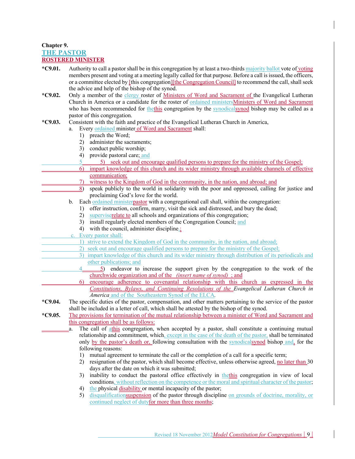### **Chapter 9. THE PASTOR ROSTERED MINISTER**

- **\*C9.01.** Authority to call a pastor shall be in this congregation by at least a two-thirds majority ballot vote of voting members present and voting at a meeting legally called for that purpose. Before a call is issued, the officers, or a committee elected by [this congregation][the Congregation Council] to recommend the call, shall seek the advice and help of the bishop of the synod.
- **\*C9.02.** Only a member of the clergy roster of Ministers of Word and Sacrament of the Evangelical Lutheran Church in America or a candidate for the roster of ordained ministersMinisters of Word and Sacrament who has been recommended for the this congregation by the synodical synod bishop may be called as a pastor of this congregation.

### **\*C9.03.** Consistent with the faith and practice of the Evangelical Lutheran Church in America,

- a. Every ordained minister of Word and Sacrament shall:
	- 1) preach the Word;
	- 2) administer the sacraments;
	- 3) conduct public worship;
	- 4) provide pastoral care; and
	- 5 5) seek out and encourage qualified persons to prepare for the ministry of the Gospel;
- 6) impart knowledge of this church and its wider ministry through available channels of effective communication;
	- 7) witness to the Kingdom of God in the community, in the nation, and abroad; and
	- 8) speak publicly to the world in solidarity with the poor and oppressed, calling for justice and proclaiming God's love for the world.
	- b. Each ordained ministerpastor with a congregational call shall, within the congregation:
		- 1) offer instruction, confirm, marry, visit the sick and distressed, and bury the dead;
			- 2) superviserelate to all schools and organizations of this congregation;
			- 3) install regularly elected members of the Congregation Council; and
			- 4) with the council, administer discipline.
- c. Every pastor shall:
	- 1) strive to extend the Kingdom of God in the community, in the nation, and abroad;
	- 2) seek out and encourage qualified persons to prepare for the ministry of the Gospel;
	- 3) impart knowledge of this church and its wider ministry through distribution of its periodicals and other publications; and
		- 4 5) endeavor to increase the support given by the congregation to the work of the churchwide organization and of the *(insert name of synod)* ; and
		- 6) encourage adherence to covenantal relationship with this church as expressed in the *Constitutions, Bylaws, and Continuing Resolutions of the Evangelical Lutheran Church in America* and of the Southeastern Synod of the ELCA*.*
- **\*C9.04.** The specific duties of the pastor, compensation, and other matters pertaining to the service of the pastor shall be included in a letter of call, which shall be attested by the bishop of the synod.
- **\*C9.05.** The provisions for termination of the mutual relationship between a minister of Word and Sacrament and this congregation shall be as follows:
	- a. The call of athis congregation, when accepted by a pastor, shall constitute a continuing mutual relationship and commitment, which, except in the case of the death of the pastor, shall be terminated only by the pastor's death or, following consultation with the synodicalsynod bishop and, for the following reasons:
		- 1) mutual agreement to terminate the call or the completion of a call for a specific term;
		- 2) resignation of the pastor, which shall become effective, unless otherwise agreed, no later than 30 days after the date on which it was submitted;
		- 3) inability to conduct the pastoral office effectively in thethis congregation in view of local conditions, without reflection on the competence or the moral and spiritual character of the pastor;
		- 4) the physical disability or mental incapacity of the pastor;
		- 5) disqualificationsuspension of the pastor through discipline on grounds of doctrine, morality, or continued neglect of dutyfor more than three months;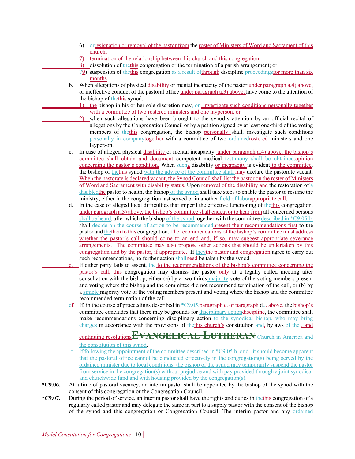- 6) orresignation or removal of the pastor from the roster of Ministers of Word and Sacrament of this church;
- 7) termination of the relationship between this church and this congregation;
- 8) dissolution of thethis congregation or the termination of a parish arrangement; or
- 79) suspension of thethis congregation as a result ofthrough discipline proceedingsfor more than six months.
- b. When allegations of physical disability or mental incapacity of the pastor under paragraph a.4) above, or ineffective conduct of the pastoral office under paragraph a.3) above, have come to the attention of the bishop of thethis synod,
	- 1) the bishop in his or her sole discretion may, or investigate such conditions personally together with a committee of two rostered ministers and one layperson, or
	- 2) when such allegations have been brought to the synod's attention by an official recital of allegations by the Congregation Council or by a petition signed by at least one-third of the voting members of the this congregation, the bishop personally shall, investigate such conditions personally in companytogether with a committee of two ordainedrostered ministers and one layperson.
- c. In case of alleged physical disability or mental incapacity, under paragraph a.4) above, the bishop's committee shall obtain and document competent medical testimony shall be obtained.opinion concerning the pastor's condition. When sucha disability or incapacity is evident to the committee, the bishop of thethis synod with the advice of the committee shall may declare the pastorate vacant. When the pastorate is declared vacant, the Synod Council shall list the pastor on the roster of Ministers of Word and Sacrament with disability status. Upon removal of the disability and the restoration of a disabledthe pastor to health, the bishop of the synod shall take steps to enable the pastor to resume the ministry, either in the congregation last served or in another field of laborappropriate call.
- d. In the case of alleged local difficulties that imperil the effective functioning of thethis congregation, under paragraph a.3) above, the bishop's committee shall endeavor to hear from all concerned persons shall be heard, after which the bishop of the synod together with the committee described in \*C9.05.b. shall decide on the course of action to be recommendedpresent their recommendations first to the pastor and the then to this congregation. The recommendations of the bishop's committee must address whether the pastor's call should come to an end and, if so, may suggest appropriate severance arrangements. The committee may also propose other actions that should be undertaken by this congregation and by the pastor, if appropriate. If theythe pastor and congregation agree to carry out such recommendations, no further action shallneed be taken by the synod.
- If either party fails to assent, the to the recommendations of the bishop's committee concerning the pastor's call, this congregation may dismiss the pastor only at a legally called meeting after consultation with the bishop, either (a) by a two-thirds majority vote of the voting members present and voting where the bishop and the committee did not recommend termination of the call, or (b) by a simple majority vote of the voting members present and voting where the bishop and the committee recommended termination of the call.
- ef. If, in the course of proceedings described in \*C9.05.paragraph c. or paragraph d.,. above, the bishop's committee concludes that there may be grounds for disciplinary actiondiscipline, the committee shall make recommendations concerning disciplinary action to the synodical bishop, who may bring charges in accordance with the provisions of thethis church's constitution and, bylaws of the , and

continuing resolutions**EVANGELICAL LUTHERAN** Church in America and the constitution of this synod.

- If following the appointment of the committee described in \*C9.05.b. or d., it should become apparent that the pastoral office cannot be conducted effectively in the congregation(s) being served by the ordained minister due to local conditions, the bishop of the synod may temporarily suspend the pastor from service in the congregation(s) without prejudice and with pay provided through a joint synodical and churchwide fund and with housing provided by the congregation(s).
- **\*C9.06.** At a time of pastoral vacancy, an interim pastor shall be appointed by the bishop of the synod with the consent of this congregation or the Congregation Council.
- **\*C9.07.** During the period of service, an interim pastor shall have the rights and duties in thethis congregation of a regularly called pastor and may delegate the same in part to a supply pastor with the consent of the bishop of the synod and this congregation or Congregation Council. The interim pastor and any ordained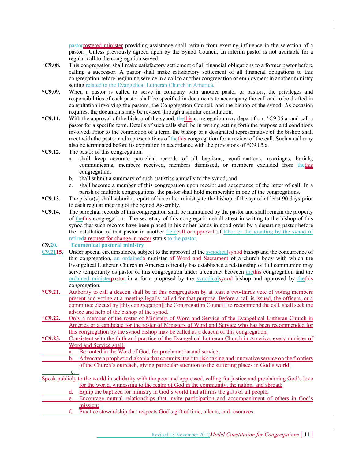pastorrostered minister providing assistance shall refrain from exerting influence in the selection of a pastor. Unless previously agreed upon by the Synod Council, an interim pastor is not available for a regular call to the congregation served.

- **\*C9.08.** This congregation shall make satisfactory settlement of all financial obligations to a former pastor before calling a successor. A pastor shall make satisfactory settlement of all financial obligations to this congregation before beginning service in a call to another congregation or employment in another ministry setting related to the Evangelical Lutheran Church in America.
- **\*C9.09.** When a pastor is called to serve in company with another pastor or pastors, the privileges and responsibilities of each pastor shall be specified in documents to accompany the call and to be drafted in consultation involving the pastors, the Congregation Council, and the bishop of the synod. As occasion requires, the documents may be revised through a similar consultation.
- **\*C9.11.** With the approval of the bishop of the synod, thethis congregation may depart from \*C9.05.a. and call a pastor for a specific term. Details of such calls shall be in writing setting forth the purpose and conditions involved. Prior to the completion of a term, the bishop or a designated representative of the bishop shall meet with the pastor and representatives of the this congregation for a review of the call. Such a call may also be terminated before its expiration in accordance with the provisions of \*C9.05.a.
- **\*C9.12.** The pastor of this congregation:
	- a. shall keep accurate parochial records of all baptisms, confirmations, marriages, burials, communicants, members received, members dismissed, or members excluded from thethis congregation;
	- b. shall submit a summary of such statistics annually to the synod; and
	- c. shall become a member of this congregation upon receipt and acceptance of the letter of call. In a parish of multiple congregations, the pastor shall hold membership in one of the congregations.
- **\*C9.13.** The pastor(s) shall submit a report of his or her ministry to the bishop of the synod at least 90 days prior to each regular meeting of the Synod Assembly.
- **\*C9.14.** The parochial records of this congregation shall be maintained by the pastor and shall remain the property of thethis congregation. The secretary of this congregation shall attest in writing to the bishop of this synod that such records have been placed in his or her hands in good order by a departing pastor before the installation of that pastor in another fieldcall or approval of labor or the granting by the synod of retireda request for change in roster status to the pastor.

### **C9.20. Ecumenical pastoral ministry**

- **C9.2115.** Under special circumstances, subject to the approval of the synodicalsynod bishop and the concurrence of this congregation, an ordaineda minister of Word and Sacrament of a church body with which the Evangelical Lutheran Church in America officially has established a relationship of full communion may serve temporarily as pastor of this congregation under a contract between thethis congregation and the ordained ministerpastor in a form proposed by the synodicalsynod bishop and approved by thethis congregation.
- **\*C9.21.** Authority to call a deacon shall be in this congregation by at least a two-thirds vote of voting members present and voting at a meeting legally called for that purpose. Before a call is issued, the officers, or a committee elected by [this congregation][the Congregation Council] to recommend the call, shall seek the advice and help of the bishop of the synod.
- **\*C9.22.** Only a member of the roster of Ministers of Word and Service of the Evangelical Lutheran Church in America or a candidate for the roster of Ministers of Word and Service who has been recommended for this congregation by the synod bishop may be called as a deacon of this congregation.
- **\*C9.23.** Consistent with the faith and practice of the Evangelical Lutheran Church in America, every minister of Word and Service shall:
	- a. Be rooted in the Word of God, for proclamation and service;
	- b. Advocate a prophetic diakonia that commits itself to risk-taking and innovative service on the frontiers of the Church's outreach, giving particular attention to the suffering places in God's world;

c. Speak publicly to the world in solidarity with the poor and oppressed, calling for justice and proclaiming God's love for the world, witnessing to the realm of God in the community, the nation, and abroad;

- Equip the baptized for ministry in  $\overline{God}$ 's world that affirms the gifts of all people;
- e. Encourage mutual relationships that invite participation and accompaniment of others in God's mission;
	- Practice stewardship that respects God's gift of time, talents, and resources;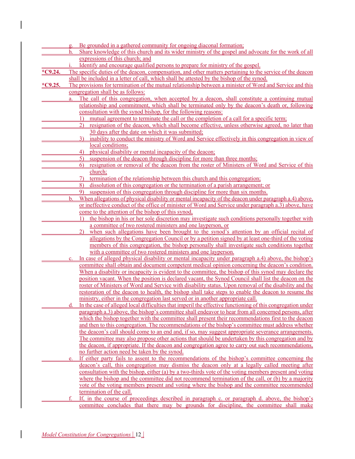|           |                | g. Be grounded in a gathered community for ongoing diaconal formation;                                            |
|-----------|----------------|-------------------------------------------------------------------------------------------------------------------|
|           | $h_{\cdot}$    | Share knowledge of this church and its wider ministry of the gospel and advocate for the work of all              |
|           |                | expressions of this church; and                                                                                   |
|           |                | Identify and encourage qualified persons to prepare for ministry of the gospel.                                   |
| $*C9.24.$ |                | The specific duties of the deacon, compensation, and other matters pertaining to the service of the deacon        |
|           |                | shall be included in a letter of call, which shall be attested by the bishop of the synod.                        |
| $*C9.25.$ |                | The provisions for termination of the mutual relationship between a minister of Word and Service and this         |
|           |                | congregation shall be as follows:                                                                                 |
|           |                | The call of this congregation, when accepted by a deacon, shall constitute a continuing mutual                    |
|           |                | relationship and commitment, which shall be terminated only by the deacon's death or, following                   |
|           |                | consultation with the synod bishop, for the following reasons:                                                    |
|           |                | mutual agreement to terminate the call or the completion of a call for a specific term;                           |
|           |                | resignation of the deacon, which shall become effective, unless otherwise agreed, no later than                   |
|           |                | 30 days after the date on which it was submitted;                                                                 |
|           |                | inability to conduct the ministry of Word and Service effectively in this congregation in view of<br>3)           |
|           |                | local conditions;                                                                                                 |
|           |                | physical disability or mental incapacity of the deacon;<br>4)                                                     |
|           |                | suspension of the deacon through discipline for more than three months;<br>5)                                     |
|           |                | resignation or removal of the deacon from the roster of Ministers of Word and Service of this<br>6)               |
|           |                | church;                                                                                                           |
|           |                | 7)<br>termination of the relationship between this church and this congregation;                                  |
|           |                | dissolution of this congregation or the termination of a parish arrangement; or<br>8)                             |
|           |                | suspension of this congregation through discipline for more than six months.<br>9)                                |
|           | $b$            | When allegations of physical disability or mental incapacity of the deacon under paragraph a.4) above,            |
|           |                | or ineffective conduct of the office of minister of Word and Service under paragraph a.3) above, have             |
|           |                | come to the attention of the bishop of this synod,                                                                |
|           |                | the bishop in his or her sole discretion may investigate such conditions personally together with<br>$\mathbf{D}$ |
|           |                | a committee of two rostered ministers and one layperson, or                                                       |
|           |                | when such allegations have been brought to the synod's attention by an official recital of<br>(2)                 |
|           |                | allegations by the Congregation Council or by a petition signed by at least one-third of the voting               |
|           |                | members of this congregation, the bishop personally shall investigate such conditions together                    |
|           |                | with a committee of two rostered ministers and one layperson.                                                     |
|           | $\mathbf{c}$ . | In case of alleged physical disability or mental incapacity under paragraph a.4) above, the bishop's              |
|           |                | committee shall obtain and document competent medical opinion concerning the deacon's condition.                  |
|           |                | When a disability or incapacity is evident to the committee, the bishop of this synod may declare the             |
|           |                | position vacant. When the position is declared vacant, the Synod Council shall list the deacon on the             |
|           |                | roster of Ministers of Word and Service with disability status. Upon removal of the disability and the            |
|           |                | restoration of the deacon to health, the bishop shall take steps to enable the deacon to resume the               |
|           |                | ministry, either in the congregation last served or in another appropriate call.                                  |
|           |                | In the case of alleged local difficulties that imperil the effective functioning of this congregation under       |
|           |                | paragraph a.3) above, the bishop's committee shall endeavor to hear from all concerned persons, after             |
|           |                | which the bishop together with the committee shall present their recommendations first to the deacon              |
|           |                | and then to this congregation. The recommendations of the bishop's committee must address whether                 |
|           |                | the deacon's call should come to an end and, if so, may suggest appropriate severance arrangements.               |
|           |                | The committee may also propose other actions that should be undertaken by this congregation and by                |
|           |                | the deacon, if appropriate. If the deacon and congregation agree to carry out such recommendations,               |
|           |                | no further action need be taken by the synod.                                                                     |
|           | e.             | If either party fails to assent to the recommendations of the bishop's committee concerning the                   |
|           |                | deacon's call, this congregation may dismiss the deacon only at a legally called meeting after                    |
|           |                | consultation with the bishop, either (a) by a two-thirds vote of the voting members present and voting            |
|           |                | where the bishop and the committee did not recommend termination of the call, or (b) by a majority                |
|           |                | vote of the voting members present and voting where the bishop and the committee recommended                      |
|           |                |                                                                                                                   |
|           |                | termination of the call.                                                                                          |
|           | f.             | If, in the course of proceedings described in paragraph c. or paragraph d. above, the bishop's                    |
|           |                | committee concludes that there may be grounds for discipline, the committee shall make                            |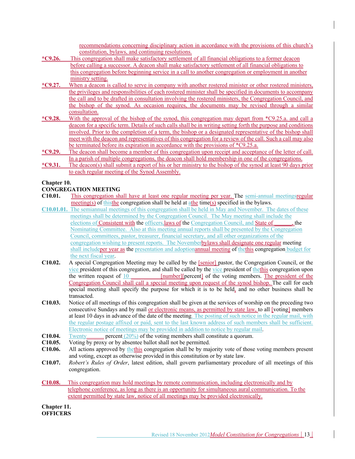recommendations concerning disciplinary action in accordance with the provisions of this church's constitution, bylaws, and continuing resolutions.

- **\*C9.26.** This congregation shall make satisfactory settlement of all financial obligations to a former deacon before calling a successor. A deacon shall make satisfactory settlement of all financial obligations to this congregation before beginning service in a call to another congregation or employment in another ministry setting.
- **\*C9.27.** When a deacon is called to serve in company with another rostered minister or other rostered ministers, the privileges and responsibilities of each rostered minister shall be specified in documents to accompany the call and to be drafted in consultation involving the rostered ministers, the Congregation Council, and the bishop of the synod. As occasion requires, the documents may be revised through a similar consultation.
- **\*C9.28.** With the approval of the bishop of the synod, this congregation may depart from \*C9.25.a. and call a deacon for a specific term. Details of such calls shall be in writing setting forth the purpose and conditions involved. Prior to the completion of a term, the bishop or a designated representative of the bishop shall meet with the deacon and representatives of this congregation for a review of the call. Such a call may also be terminated before its expiration in accordance with the provisions of \*C9.25.a.
- **\*C9.29.** The deacon shall become a member of this congregation upon receipt and acceptance of the letter of call. In a parish of multiple congregations, the deacon shall hold membership in one of the congregations.
- **\*C9.31.** The deacon(s) shall submit a report of his or her ministry to the bishop of the synod at least 90 days prior to each regular meeting of the Synod Assembly.

### **Chapter 10.**

### **CONGREGATION MEETING**

- **C10.01.** This congregation shall have at least one regular meeting per year. The semi-annual meetingsregular  $\frac{\text{meeting}(s)}{\text{meting}}$  of thisthe congregation shall be held at  $\frac{\text{athe}}{\text{athe}}$  time( $s$ ) specified in the bylaws.
- **C10.01.01.** The semiannual meetings of this congregation shall be held in May and November. The dates of these meetings shall be determined by the Congregation Council. The May meeting shall include the elections of Consistent with the officers,laws of the Congregation Council, and State of **\_\_\_\_\_\_**, the Nominating Committee. Also at this meeting annual reports shall be presented by the Congregation Council, committees, pastor, treasurer, financial secretary, and all other organizations of the congregation wishing to present reports. The Novemberbylaws shall designate one regular meeting shall includeper year as the presentation and adoptionannual meeting of thethis congregation budget for the next fiscal year.
- **C10.02.** A special Congregation Meeting may be called by the [senior] pastor, the Congregation Council, or the vice president of this congregation, and shall be called by the vice president of thethis congregation upon the written request of  $\frac{10}{2}$  [number][percent] of the voting members. The president of the Congregation Council shall call a special meeting upon request of the synod bishop. The call for each special meeting shall specify the purpose for which it is to be held, and no other business shall be transacted.
- **C10.03.** Notice of all meetings of this congregation shall be given at the services of worship on the preceding two consecutive Sundays and by mail <u>or electronic means, as permitted by state law</u>, to all [voting] members at least 10 days in advance of the date of the meeting. The posting of such notice in the regular mail, with the regular postage affixed or paid, sent to the last known address of such members shall be sufficient. Electronic notice of meetings may be provided in addition to notice by regular mail.
- **C10.04.** Twenty percent (20%) of the voting members shall constitute a quorum.
- **C10.05.** Voting by proxy or by absentee ballot shall not be permitted.
- **C10.06.** All actions approved by thethis congregation shall be by majority vote of those voting members present and voting, except as otherwise provided in this constitution or by state law.
- **C10.07.** *Robert's Rules of Order*, latest edition, shall govern parliamentary procedure of all meetings of this congregation.
- **C10.08.** This congregation may hold meetings by remote communication, including electronically and by telephone conference, as long as there is an opportunity for simultaneous aural communication. To the extent permitted by state law, notice of all meetings may be provided electronically.

**Chapter 11. OFFICERS**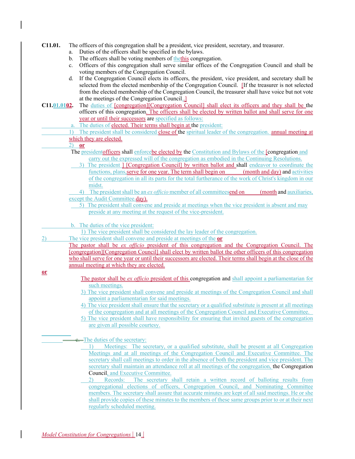### **C11.01.** The officers of this congregation shall be a president, vice president, secretary, and treasurer.

- a. Duties of the officers shall be specified in the bylaws.
- b. The officers shall be voting members of the this congregation.
- c. Officers of this congregation shall serve similar offices of the Congregation Council and shall be voting members of the Congregation Council.
- d. If the Congregation Council elects its officers, the president, vice president, and secretary shall be selected from the elected membership of the Congregation Council. [If the treasurer is not selected from the elected membership of the Congregation Council, the treasurer shall have voice but not vote at the meetings of the Congregation Council..]
- **C11.01.0102.** The duties of [congregation][Congregation Council] shall elect its officers and they shall be the officers of this congregation. The officers shall be elected by written ballot and shall serve for one year or until their successors are specified as follows:
	- a. The duties of elected. Their terms shall begin at the president:
	- 1) The president shall be considered close of the spiritual leader of the congregation. annual meeting at which they are elected.

### 2) **or**

- The presidentofficers shall enforcebe elected by the Constitution and Bylaws of the [congregation and carry out the expressed will of the congregation as embodied in the Continuing Resolutions.
- 3) The president ] [Congregation Council] by written ballot and shall endeavor to coordinate the functions, plans,serve for one year. The term shall begin on (month and day) and activities of the congregation in all its parts for the total furtherance of the work of Christ's kingdom in our midst.

4) The president shall be an *ex officio* member of all committeesend on (month and auxiliaries, except the Audit Committee.day).

- 5) The president shall convene and preside at meetings when the vice president is absent and may preside at any meeting at the request of the vice-president.
- b. The duties of the vice president:
	- 1) The vice president shall be considered the lay leader of the congregation.
- 2) The vice president shall convene and preside at meetings of the **or**

The pastor shall be *ex officio* president of this congregation and the Congregation Council. The [congregation][Congregation Council] shall elect by written ballot the other officers of this congregation who shall serve for one year or until their successors are elected. Their terms shall begin at the close of the annual meeting at which they are elected.

#### **or**

- The pastor shall be *ex officio* president of this congregation and shall appoint a parliamentarian for such meetings.
- 3) The vice president shall convene and preside at meetings of the Congregation Council and shall appoint a parliamentarian for said meetings.
- 4) The vice president shall ensure that the secretary or a qualified substitute is present at all meetings of the congregation and at all meetings of the Congregation Council and Executive Committee.
- 5) The vice president shall have responsibility for ensuring that invited guests of the congregation are given all possible courtesy.

The duties of the secretary:

- 1) Meetings: The secretary, or a qualified substitute, shall be present at all Congregation Meetings and at all meetings of the Congregation Council and Executive Committee. The secretary shall call meetings to order in the absence of both the president and vice president. The secretary shall maintain an attendance roll at all meetings of the congregation, the Congregation Council, and Executive Committee.
- 2) Records: The secretary shall retain a written record of balloting results from congregational elections of officers, Congregation Council, and Nominating Committee members. The secretary shall assure that accurate minutes are kept of all said meetings. He or she shall provide copies of these minutes to the members of these same groups prior to or at their next regularly scheduled meeting.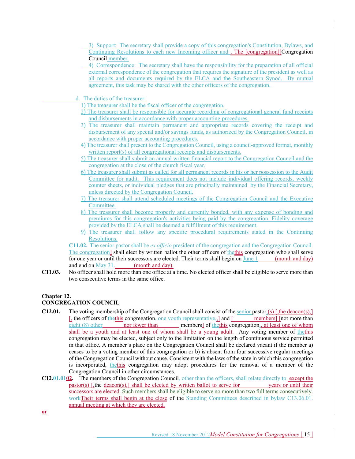- 3) Support: The secretary shall provide a copy of this congregation's Constitution, Bylaws, and Continuing Resolutions to each new Incoming officer and . The [congregation][Congregation Council member.
- 4) Correspondence: The secretary shall have the responsibility for the preparation of all official external correspondence of the congregation that requires the signature of the president as well as all reports and documents required by the ELCA and the Southeastern Synod. By mutual agreement, this task may be shared with the other officers of the congregation.
- d. The duties of the treasurer:
	- 1) The treasurer shall be the fiscal officer of the congregation.
	- 2) The treasurer shall be responsible for accurate recording of congregational general fund receipts and disbursements in accordance with proper accounting procedures.
	- 3) The treasurer shall maintain permanent and appropriate records covering the receipt and disbursement of any special and/or savings funds, as authorized by the Congregation Council, in accordance with proper accounting procedures.
	- 4) The treasurer shall present to the Congregation Council, using a council-approved format, monthly written report(s) of all congregational receipts and disbursements.
	- 5) The treasurer shall submit an annual written financial report to the Congregation Council and the congregation at the close of the church fiscal year.
	- 6) The treasurer shall submit as called for all permanent records in his or her possession to the Audit Committee for audit. This requirement does not include individual offering records, weekly counter sheets, or individual pledges that are principally maintained by the Financial Secretary, unless directed by the Congregation Council.
	- 7) The treasurer shall attend scheduled meetings of the Congregation Council and the Executive Committee.
	- 8) The treasurer shall become properly and currently bonded, with any expense of bonding and premiums for this congregation's activities being paid by the congregation. Fidelity coverage provided by the ELCA shall be deemed a fulfillment of this requirement.
	- 9) The treasurer shall follow any specific procedural requirements stated in the Continuing Resolutions.

**C11.02.** The senior pastor shall be *ex officio* president of the congregation and the Congregation Council. The congregation] shall elect by written ballot the other officers of the this congregation who shall serve for one year or until their successors are elected. Their terms shall begin on June  $1$  (month and day) and end on May 31. (month and day).

**C11.03.** No officer shall hold more than one office at a time. No elected officer shall be eligible to serve more than two consecutive terms in the same office.

### **Chapter 12.**

### **CONGREGATION COUNCIL**

- **C12.01.** The voting membership of the Congregation Council shall consist of the senior pastor,(s) [,the deacon(s),]  $\frac{1}{2}$ , the officers of the this congregation, one youth representative, and  $\frac{1}{2}$  and  $\frac{1}{2}$  members] [not more than eight (8) other nor fewer than members] of the this congregation, at least one of whom shall be a youth and at least one of whom shall be a young adult. Any voting member of thethis congregation may be elected, subject only to the limitation on the length of continuous service permitted in that office. A member's place on the Congregation Council shall be declared vacant if the member a) ceases to be a voting member of this congregation or b) is absent from four successive regular meetings of the Congregation Council without cause. Consistent with the laws of the state in which this congregation is incorporated, thethis congregation may adopt procedures for the removal of a member of the Congregation Council in other circumstances.
- **C12.01.0102.** The members of the Congregation Council, other than the officers, shall relate directly to except the pastor(s) [,the deacon(s),] shall be elected by written ballot to serve for years or until their successors are elected. Such members shall be eligible to serve no more than two full terms consecutively. workTheir terms shall begin at the close of the Standing Committees described in bylaw C13.06.01. annual meeting at which they are elected.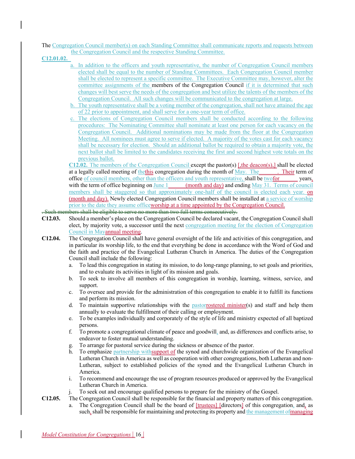The Congregation Council member(s) on each Standing Committee shall communicate reports and requests between the Congregation Council and the respective Standing Committee.

**C12.01.02.**

- a. In addition to the officers and youth representative, the number of Congregation Council members elected shall be equal to the number of Standing Committees. Each Congregation Council member shall be elected to represent a specific committee. The Executive Committee may, however, alter the committee assignments of the members of the Congregation Council if it is determined that such changes will best serve the needs of the congregation and best utilize the talents of the members of the Congregation Council. All such changes will be communicated to the congregation at large.
- b. The youth representative shall be a voting member of the congregation, shall not have attained the age of 22 prior to appointment, and shall serve for a one-year term of office.
- c. The elections of Congregation Council members shall be conducted according to the following procedures: The Nominating Committee shall nominate at least one person for each vacancy on the Congregation Council. Additional nominations may be made from the floor at the Congregation Meeting. All nominees must agree to serve if elected. A majority of the votes cast for each vacancy shall be necessary for election. Should an additional ballot be required to obtain a majority vote, the next ballot shall be limited to the candidates receiving the first and second highest vote totals on the previous ballot.

**C12.02.** The members of the Congregation Council except the pastor(s) [,the deacon(s),] shall be elected at a legally called meeting of thethis congregation during the month of May. The . Their term of office of council members, other than the officers and youth representative, shall be twofor years, with the term of office beginning on June  $1$  (month and day) and ending May 31. Terms of council members shall be staggered so that approximately one-half of the council is elected each year. on (month and day). Newly elected Congregation Council members shall be installed at a service of worship prior to the date they assume officeworship at a time appointed by the Congregation Council.

### . Such members shall be eligible to serve no more than two full terms consecutively.

- **C12.03.** Should a member's place on the Congregation Council be declared vacant, the Congregation Council shall elect, by majority vote, a successor until the next congregation meeting for the election of Congregation Council in Mayannual meeting.
- **C12.04.** The Congregation Council shall have general oversight of the life and activities of this congregation, and in particular its worship life, to the end that everything be done in accordance with the Word of God and the faith and practice of the Evangelical Lutheran Church in America. The duties of the Congregation Council shall include the following:
	- a. To lead this congregation in stating its mission, to do long-range planning, to set goals and priorities, and to evaluate its activities in light of its mission and goals.
	- b. To seek to involve all members of this congregation in worship, learning, witness, service, and support.
	- c. To oversee and provide for the administration of this congregation to enable it to fulfill its functions and perform its mission.
	- d. To maintain supportive relationships with the pastorrostered minister(s) and staff and help them annually to evaluate the fulfillment of their calling or employment.
	- e. To be examples individually and corporately of the style of life and ministry expected of all baptized persons.
	- f. To promote a congregational climate of peace and goodwill, and, as differences and conflicts arise, to endeavor to foster mutual understanding.
	- g. To arrange for pastoral service during the sickness or absence of the pastor.
	- h. To emphasize partnership withsupport of the synod and churchwide organization of the Evangelical Lutheran Church in America as well as cooperation with other congregations, both Lutheran and non-Lutheran, subject to established policies of the synod and the Evangelical Lutheran Church in America.
	- i. To recommend and encourage the use of program resources produced or approved by the Evangelical Lutheran Church in America.
	- j. To seek out and encourage qualified persons to prepare for the ministry of the Gospel.
- **C12.05.** The Congregation Council shall be responsible for the financial and property matters of this congregation. a. The Congregation Council shall be the board of [trustees] [directors] of this congregation, and, as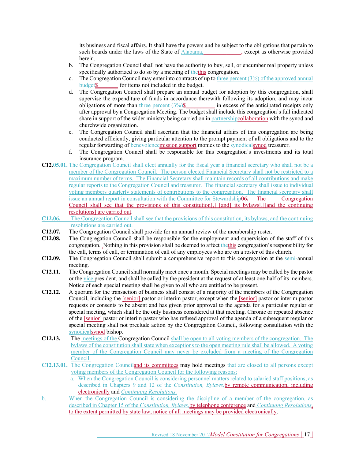its business and fiscal affairs. It shall have the powers and be subject to the obligations that pertain to such boards under the laws of the State of **Alabama**, except as otherwise provided herein.

- b. The Congregation Council shall not have the authority to buy, sell, or encumber real property unless specifically authorized to do so by a meeting of thethis congregation.
- c. The Congregation Council may enter into contracts of up to three percent  $(3%)$  of the approved annual budget\$**\_\_\_\_\_\_\_** for items not included in the budget.
- d. The Congregation Council shall prepare an annual budget for adoption by this congregation, shall supervise the expenditure of funds in accordance therewith following its adoption, and may incur obligations of more than three percent  $(3\%)\$  in excess of the anticipated receipts only after approval by a Congregation Meeting. The budget shall include this congregation's full indicated share in support of the wider ministry being carried on in partnershipcollaboration with the synod and churchwide organization.
- e. The Congregation Council shall ascertain that the financial affairs of this congregation are being conducted efficiently, giving particular attention to the prompt payment of all obligations and to the regular forwarding of benevolencemission support monies to the synodicalsynod treasurer.
- f. The Congregation Council shall be responsible for this congregation's investments and its total insurance program.
- **C12.05.01.** The Congregation Council shall elect annually for the fiscal year a financial secretary who shall not be a member of the Congregation Council. The person elected Financial Secretary shall not be restricted to a maximum number of terms. The Financial Secretary shall maintain records of all contributions and make regular reports to the Congregation Council and treasurer. The financial secretary shall issue to individual voting members quarterly statements of contributions to the congregation. The financial secretary shall issue an annual report in consultation with the Committee for Stewardship**06.** The Congregation Council shall see that the provisions of this constitution[,] [and] its bylaws[,][and the continuing resolutions] are carried out.
- **C12.06.** The Congregation Council shall see that the provisions of this constitution, its bylaws, and the continuing resolutions are carried out.
- **C12.07.** The Congregation Council shall provide for an annual review of the membership roster.
- **C12.08.** The Congregation Council shall be responsible for the employment and supervision of the staff of this congregation. Nothing in this provision shall be deemed to affect thethis congregation's responsibility for the call, terms of call, or termination of call of any employees who are on a roster of this church.
- **C12.09.** The Congregation Council shall submit a comprehensive report to this congregation at the semi-annual meeting.
- **C12.11.** The Congregation Council shall normally meet once a month. Special meetings may be called by the pastor or the vice president, and shall be called by the president at the request of at least one-half of its members. Notice of each special meeting shall be given to all who are entitled to be present.
- **C12.12.** A quorum for the transaction of business shall consist of a majority of the members of the Congregation Council, including the [senior] pastor or interim pastor, except when the [senior] pastor or interim pastor requests or consents to be absent and has given prior approval to the agenda for a particular regular or special meeting, which shall be the only business considered at that meeting. Chronic or repeated absence of the [senior] pastor or interim pastor who has refused approval of the agenda of a subsequent regular or special meeting shall not preclude action by the Congregation Council, following consultation with the synodicalsynod bishop.
- **C12.13.** The meetings of the Congregation Council shall be open to all voting members of the congregation. The bylaws of the constitution shall state when exceptions to the open meeting rule shall be allowed. A voting member of the Congregation Council may never be excluded from a meeting of the Congregation Council.
- **C12.13.01.** The Congregation Counciland its committees may hold meetings that are closed to all persons except voting members of the Congregation Council for the following reasons:
	- a. When the Congregation Council is considering personnel matters related to salaried staff positions, as described in Chapters 9 and 12 of the *Constitution, Bylaws,*by remote communication, including electronically and *Continuing Resolutions.*
- b. When the Congregation Council is considering the discipline of a member of the congregation, as described in Chapter 15 of the *Constitution, Bylaws,*by telephone conference and *Continuing Resolutions*, to the extent permitted by state law, notice of all meetings may be provided electronically.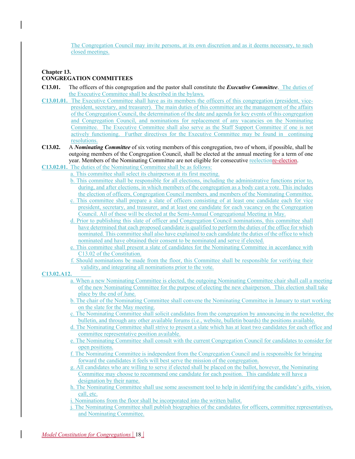The Congregation Council may invite persons, at its own discretion and as it deems necessary, to such closed meetings.

### **Chapter 13. CONGREGATION COMMITTEES**

- **C13.01.** The officers of this congregation and the pastor shall constitute the *Executive Committee*. The duties of the Executive Committee shall be described in the bylaws.
- **C13.01.01.** The Executive Committee shall have as its members the officers of this congregation (president, vicepresident, secretary, and treasurer). The main duties of this committee are the management of the affairs of the Congregation Council, the determination of the date and agenda for key events of this congregation and Congregation Council, and nominations for replacement of any vacancies on the Nominating Committee. The Executive Committee shall also serve as the Staff Support Committee if one is not actively functioning. Further directives for the Executive Committee may be found in continuing resolutions.
- **C13.02.** A *Nominating Committee* of six voting members of this congregation, two of whom, if possible, shall be outgoing members of the Congregation Council, shall be elected at the annual meeting for a term of one year. Members of the Nominating Committee are not eligible for consecutive reelectionre-election.
- **C13.02.01.** The duties of the Nominating Committee shall be as follows:
	- a. This committee shall select its chairperson at its first meeting.
	- b. This committee shall be responsible for all elections, including the administrative functions prior to, during, and after elections, in which members of the congregation as a body cast a vote. This includes the election of officers, Congregation Council members, and members of the Nominating Committee.
	- c. This committee shall prepare a slate of officers consisting of at least one candidate each for vice president, secretary, and treasurer, and at least one candidate for each vacancy on the Congregation Council. All of these will be elected at the Semi-Annual Congregational Meeting in May.
	- d. Prior to publishing this slate of officer and Congregation Council nominations, this committee shall have determined that each proposed candidate is qualified to perform the duties of the office for which nominated. This committee shall also have explained to each candidate the duties of the office to which nominated and have obtained their consent to be nominated and serve if elected.
	- e. This committee shall present a slate of candidates for the Nominating Committee in accordance with C13.02 of the Constitution.
	- f. Should nominations be made from the floor, this Committee shall be responsible for verifying their validity, and integrating all nominations prior to the vote.

### **C13.02.A12.**

- a. When a new Nominating Committee is elected, the outgoing Nominating Committee chair shall call a meeting of the new Nominating Committee for the purpose of electing the new chairperson. This election shall take place by the end of June.
- b. The chair of the Nominating Committee shall convene the Nominating Committee in January to start working on the slate for the May meeting.
- c. The Nominating Committee shall solicit candidates from the congregation by announcing in the newsletter, the bulletin, and through any other available forums (i.e., website, bulletin boards) the positions available.
- d. The Nominating Committee shall strive to present a slate which has at least two candidates for each office and committee representative position available.
- e. The Nominating Committee shall consult with the current Congregation Council for candidates to consider for open positions.
- f. The Nominating Committee is independent from the Congregation Council and is responsible for bringing forward the candidates it feels will best serve the mission of the congregation.
- g. All candidates who are willing to serve if elected shall be placed on the ballot, however, the Nominating Committee may choose to recommend one candidate for each position. This candidate will have a designation by their name.
- h. The Nominating Committee shall use some assessment tool to help in identifying the candidate's gifts, vision, call, etc.
- i. Nominations from the floor shall be incorporated into the written ballot.
- j. The Nominating Committee shall publish biographies of the candidates for officers, committee representatives, and Nominating Committee.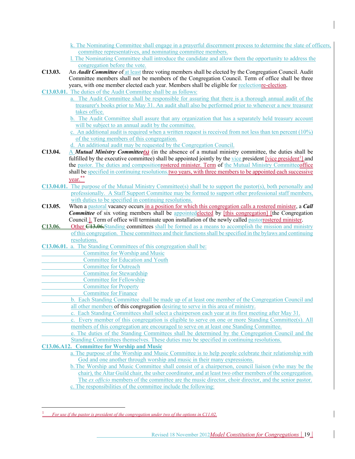- k. The Nominating Committee shall engage in a prayerful discernment process to determine the slate of officers, committee representatives, and nominating committee members.
- l. The Nominating Committee shall introduce the candidate and allow them the opportunity to address the congregation before the vote.
- **C13.03.** An *Audit Committee* of at least three voting members shall be elected by the Congregation Council. Audit Committee members shall not be members of the Congregation Council. Term of office shall be three years, with one member elected each year. Members shall be eligible for reelectionre-election.
- **C13.03.01.** The duties of the Audit Committee shall be as follows:
	- a. The Audit Committee shall be responsible for assuring that there is a thorough annual audit of the treasurer's books prior to May 31. An audit shall also be performed prior to whenever a new treasurer takes office.
		- b. The Audit Committee shall assure that any organization that has a separately held treasury account will be subject to an annual audit by the committee.
		- c. An additional audit is required when a written request is received from not less than ten percent  $(10\%)$ of the voting members of this congregation.
		- d. An additional audit may be requested by the Congregation Council.
- **C13.04.** A *Mutual Ministry Committee(s)* (in the absence of a mutual ministry committee, the duties shall be fulfilled by the executive committee) shall be appointed jointly by the vice president [vice president<sup>1</sup>] and the pastor. The duties and compositionrostered minister. Term of the Mutual Ministry Committeeoffice shall be specified in continuing resolutions two years, with three members to be appointed each successive year.\*\*
- **C13.04.01.** The purpose of the Mutual Ministry Committee(s) shall be to support the pastor(s), both personally and professionally. A Staff Support Committee may be formed to support other professional staff members, with duties to be specified in continuing resolutions.
- **C13.05.** When a pastoral vacancy occurs in a position for which this congregation calls a rostered minister, a *Call* **Committee** of six voting members shall be appointedelected by [this congregation] [the Congregation Council.<sup>1</sup> Term of office will terminate upon installation of the newly called pastorrostered minister.
- **C13.06.** Other **C13.06.**Standing committees shall be formed as a means to accomplish the mission and ministry of this congregation. These committees and their functions shall be specified in the bylaws and continuing resolutions.
- **C13.06.01.** a. The Standing Committees of this congregation shall be:
	- Committee for Worship and Music
	- Committee for Education and Youth
- Committee for Outreach
- Committee for Stewardship
- Committee for Fellowship
- Committee for Property
	- Committee for Finance
		- b. Each Standing Committee shall be made up of at least one member of the Congregation Council and all other members of this congregation desiring to serve in this area of ministry.
		- c. Each Standing Committees shall select a chairperson each year at its first meeting after May 31.
		- c. Every member of this congregation is eligible to serve on one or more Standing Committee(s). All members of this congregation are encouraged to serve on at least one Standing Committee.
		- e. The duties of the Standing Committees shall be determined by the Congregation Council and the Standing Committees themselves. These duties may be specified in continuing resolutions.

**C13.06.A12. Committee for Worship and Music**

- a. The purpose of the Worship and Music Committee is to help people celebrate their relationship with God and one another through worship and music in their many expressions.
- b.The Worship and Music Committee shall consist of a chairperson, council liaison (who may be the chair), the Altar Guild chair, the usher coordinator, and at least two other members of the congregation. The *ex officio* members of the committee are the music director, choir director, and the senior pastor. c. The responsibilities of the committee include the following:

<sup>1</sup> *For use if the pastor is president of the congregation under two of the options in C11.02.*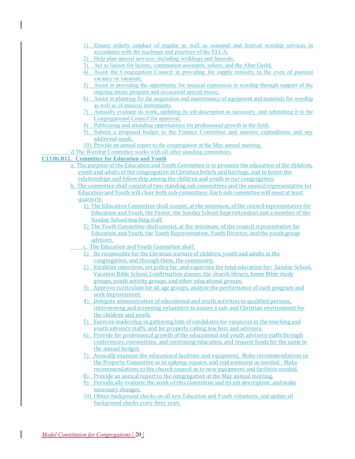- 1) Ensure orderly conduct of regular as well as seasonal and festival worship services in accordance with the teachings and practices of the ELCA;
- 2) Help plan special services, including weddings and funerals;
- Act as liaison for lectors, communion assistants, ushers, and the Altar Guild;
- 4) Assist the Congregation Council in providing for supply ministry in the even of pastoral vacancy or vacation;
- 5) Assist in providing the opportunity for musical expression in worship through support of the ongoing music program and occasional special music;
- 6) Assist in planning for the acquisition and maintenance of equipment and materials for worship as well as of musical instruments.
- 7) Annually evaluate its work, updating its job description as necessary, and submitting it to the Congregational Council for approval;
- Publicizing and attending opportunities for professional growth in the field;
- 9) Submit a proposed budget to the Finance Committee and monitor expenditures and any additional needs.
- 10) Provide an annual report to the congregation at the May annual meeting.
- d.The Worship Committee works with all other standing committees.

### **C13.06.B12. Committee for Education and Youth**

- a. The purpose of the Education and Youth Committee is to promote the education of the children, youth and adults of the congregation in Christian beliefs and heritage, and to foster the relationships and fellowship among the children and youth in our congregation.
- b. The committee shall consist of two standing sub-committees and the council representative for Education and Youth will chair both sub-committees. Each sub committee will meet at least quarterly.
	- 1) The Education Committee shall consist, at the minimum, of the council representative for Education and Youth, the Pastor, the Sunday School Superintendent and a member of the Sunday School teaching staff.
	- 2) The Youth Committee shall consist, at the minimum, of the council representative for Education and Youth, the Youth Representative, Youth Director, and the youth group advisors.
	- c. The Education and Youth Committee shall:
	- 1) Be responsible for the Christian nurture of children, youth and adults in the congregation, and through them, the community.
	- 2) Establish objectives, set policy for, and supervise the total education for: Sunday School, Vacation Bible School, Confirmation classes, the church library, home Bible study groups, youth activity groups, and other educational groups.
	- 3) Approve curriculum for all age groups, analyze the performance of each program and seek improvement.
	- 4) Delegate administration of educational and youth activities to qualified persons, interviewing and screening volunteers to assure a safe and Christian environment for the children and youth.
	- 5) Exercise leadership in gathering lists of candidates for vacancies in the teaching and youth advisory staffs, and for properly calling teachers and advisors.
	- 6) Provide for professional growth of the educational and youth advisory staffs through conferences, conventions, and continuing education, and request funds for the same in the annual budget.
	- 7) Annually examine the educational facilities and equipment. Make recommendations to the Property Committee as to upkeep, repairs, and replacements as needed. Make recommendations to the church council as to new equipment and facilities needed.
	- 8) Provide an annual report to the congregation at the May annual meeting.
	- 9) Periodically evaluate the work of this committee and its job description, and make necessary changes.
	- 10) Obtain background checks on all new Education and Youth volunteers, and update all background checks every three years.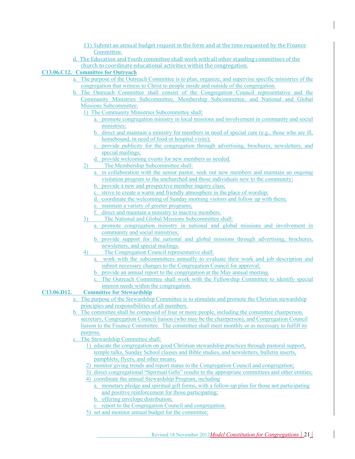- 11) Submit an annual budget request in the form and at the time requested by the Finance Committee.
- d. The Education and Youth committee shall work with all other standing committees of the church to coordinate educational activities within the congregation.

### **C13.06.C12. Committee for Outreach**

- a. The purpose of the Outreach Committee is to plan, organize, and supervise specific ministries of the congregation that witness to Christ to people inside and outside of the congregation.
- b. The Outreach Committee shall consist of the Congregation Council representative and the Community Ministries Subcommittee, Membership Subcommittee, and National and Global Missions Subcommittee.
	- 1) The Community Ministries Subcommittee shall:
		- a. promote congregation ministry in local missions and involvement in community and social ministries:
		- b. direct and maintain a ministry for members in need of special care (e.g., those who are ill, homebound, in need of food or hospital visits);
		- c. provide publicity for the congregation through advertising, brochures, newsletters, and special mailings;
		- d. provide welcoming events for new members as needed.
	- 2) The Membership Subcommittee shall:
		- a. in collaboration with the senior pastor, seek out new members and maintain an ongoing visitation program to the unchurched and those individuals new to the community;
		- b. provide a new and prospective member inquiry class;
		- c. strive to create a warm and friendly atmosphere in the place of worship;
		- d. coordinate the welcoming of Sunday morning visitors and follow up with them;
		- e. maintain a variety of greeter programs;
		- f. direct and maintain a ministry to inactive members.
	- 3) The National and Global Missions Subcommittee shall:
		- a. promote congregation ministry in national and global missions and involvement in community and social ministries;
		- b. provide support for the national and global missions through advertising, brochures, newsletters, and special mailings.
	- 4) The Congregation Council representative shall:
		- a. work with the subcommittees annually to evaluate their work and job description and submit necessary changes to the Congregation Council for approval;
		- b. provide an annual report to the congregation at the May annual meeting.
		- c. The Outreach Committee shall work with the Fellowship Committee to identify special interest needs within the congregation.
- **C13.06.D12. Committee for Stewardship**
	- a. The purpose of the Stewardship Committee is to stimulate and promote the Christian stewardship principles and responsibilities of all members.
	- b. The committee shall be composed of four or more people, including the committee chairperson, secretary, Congregation Council liaison (who may be the chairperson), and Congregation Council liaison to the Finance Committee. The committee shall meet monthly or as necessary to fulfill its purpose.
	- c. The Stewardship Committee shall:
		- 1) educate the congregation on good Christian stewardship practices through pastoral support, temple talks, Sunday School classes and Bible studies, and newsletters, bulletin inserts, pamphlets, flyers, and other means;
		- 2) monitor giving trends and report status to the Congregation Council and congregation;
		- 3) direct congregational "Spiritual Gifts" results to the appropriate committees and other entities;
		- 4) coordinate the annual Stewardship Program, including
			- a. monetary pledge and spiritual gift forms, with a follow-up plan for those not participating and positive reinforcement for those participating;
			- b. offering envelope distribution;
			- c. report to the Congregation Council and congregation.
		- 5) set and monitor annual budget for the committee;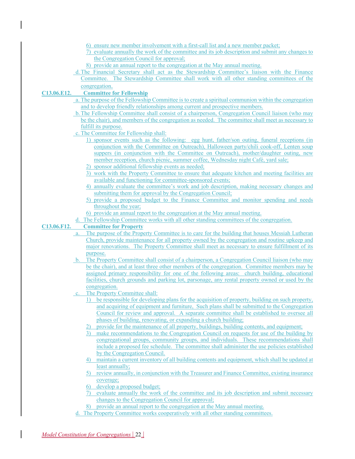- 6) ensure new member involvement with a first-call list and a new member packet;
- 7) evaluate annually the work of the committee and its job description and submit any changes to the Congregation Council for approval;
- 8) provide an annual report to the congregation at the May annual meeting.
- d.The Financial Secretary shall act as the Stewardship Committee's liaison with the Finance Committee. The Stewardship Committee shall work with all other standing committees of the congregation.

### **C13.06.E12. Committee for Fellowship**

- a. The purpose of the Fellowship Committee is to create a spiritual communion within the congregation and to develop friendly relationships among current and prospective members.
- b.The Fellowship Committee shall consist of a chairperson, Congregation Council liaison (who may be the chair), and members of the congregation as needed. The committee shall meet as necessary to fulfill its purpose.
- c. The Committee for Fellowship shall:
	- 1) sponsor events such as the following: egg hunt, father/son outing, funeral receptions (in conjunction with the Committee on Outreach), Halloween party/chili cook-off, Lenten soup suppers (in conjunction with the Committee on Outreach), mother/daughter outing, new member reception, church picnic, summer coffee, Wednesday night Café, yard sale;
	- 2) sponsor additional fellowship events as needed;
	- 3) work with the Property Committee to ensure that adequate kitchen and meeting facilities are available and functioning for committee-sponsored events;
	- 4) annually evaluate the committee's work and job description, making necessary changes and submitting them for approval by the Congregation Council;
	- 5) provide a proposed budget to the Finance Committee and monitor spending and needs throughout the year;
	- 6) provide an annual report to the congregation at the May annual meeting.
- d. The Fellowship Committee works with all other standing committees of the congregation.

### **C13.06.F12. Committee for Property**

- a. The purpose of the Property Committee is to care for the building that houses Messiah Lutheran Church, provide maintenance for all property owned by the congregation and routine upkeep and major renovations. The Property Committee shall meet as necessary to ensure fulfillment of its purpose.
- b. The Property Committee shall consist of a chairperson, a Congregation Council liaison (who may be the chair), and at least three other members of the congregation. Committee members may be assigned primary responsibility for one of the following areas: church building, educational facilities, church grounds and parking lot, parsonage, any rental property owned or used by the congregation.
- The Property Committee shall:
	- 1) be responsible for developing plans for the acquisition of property, building on such property, and acquiring of equipment and furniture, Such plans shall be submitted to the Congregation Council for review and approval. A separate committee shall be established to oversee all phases of building, renovating, or expanding a church building;
	- 2) provide for the maintenance of all property, buildings, building contents, and equipment;
	- 3) make recommendations to the Congregation Council on requests for use of the building by congregational groups, community groups, and individuals. These recommendations shall include a proposed fee schedule. The committee shall administer the use policies established by the Congregation Council.
	- 4) maintain a current inventory of all building contents and equipment, which shall be updated at least annually;
	- 5) review annually, in conjunction with the Treasurer and Finance Committee, existing insurance coverage;
	- 6) develop a proposed budget;
	- 7) evaluate annually the work of the committee and its job description and submit necessary changes to the Congregation Council for approval;
	- 8) provide an annual report to the congregation at the May annual meeting.
- d. The Property Committee works cooperatively with all other standing committees.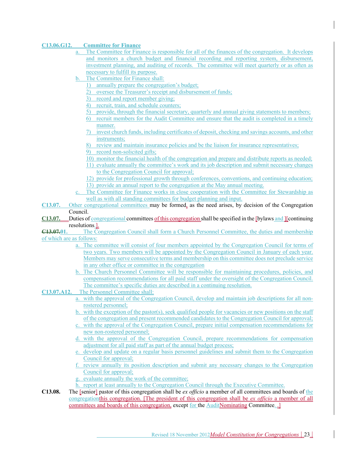### **C13.06.G12. Committee for Finance**

- a. The Committee for Finance is responsible for all of the finances of the congregation. It develops and monitors a church budget and financial recording and reporting system, disbursement, investment planning, and auditing of records. The committee will meet quarterly or as often as necessary to fulfill its purpose.
- b. The Committee for Finance shall:
	- 1) annually prepare the congregation's budget;
	- 2) oversee the Treasurer's receipt and disbursement of funds;
	- 3) record and report member giving;
	- 4) recruit, train, and schedule counters;
	- 5) provide, through the financial secretary, quarterly and annual giving statements to members;
	- 6) recruit members for the Audit Committee and ensure that the audit is completed in a timely manner.
	- 7) invest church funds, including certificates of deposit, checking and savings accounts, and other instruments;
	- 8) review and maintain insurance policies and be the liaison for insurance representatives;
	- 9) record non-solicited gifts;
	- 10) monitor the financial health of the congregation and prepare and distribute reports as needed;
	- 11) evaluate annually the committee's work and its job description and submit necessary changes to the Congregation Council for approval;
	- 12) provide for professional growth through conferences, conventions, and continuing education; 13) provide an annual report to the congregation at the May annual meeting.
- c. The Committee for Finance works in close cooperation with the Committee for Stewardship as well as with all standing committees for budget planning and input.
- **C13.07.** Other congregational committees may be formed, as the need arises, by decision of the Congregation Council.
- **C13.07.** Duties of congregational committees of this congregation shall be specified in the [bylaws and ][continuing resolutions.].
- **C13.07.01.** The Congregation Council shall form a Church Personnel Committee, the duties and membership of which are as follows:
	- a. The committee will consist of four members appointed by the Congregation Council for terms of two years. Two members will be appointed by the Congregation Council in January of each year. Members may serve consecutive terms and membership on this committee does not preclude service in any other office or committee in the congregation
	- b. The Church Personnel Committee will be responsible for maintaining procedures, policies, and compensation recommendations for all paid staff under the oversight of the Congregation Council. The committee's specific duties are described in a continuing resolution.
- **C13.07.A12.** The Personnel Committee shall:
	- a. with the approval of the Congregation Council, develop and maintain job descriptions for all nonrostered personnel;
	- b. with the exception of the pastor(s), seek qualified people for vacancies or new positions on the staff of the congregation and present recommended candidates to the Congregation Council for approval;
	- c. with the approval of the Congregation Council, prepare initial compensation recommendations for new non-rostered personnel;
	- d. with the approval of the Congregation Council, prepare recommendations for compensation adjustment for all paid staff as part of the annual budget process;
	- e. develop and update on a regular basis personnel guidelines and submit them to the Congregation Council for approval;
	- f. review annually its position description and submit any necessary changes to the Congregation Council for approval;
	- evaluate annually the work of the committee;
	- report at least annually to the Congregation Council through the Executive Committee.
- **C13.08.** The [senior] pastor of this congregation shall be *ex officio* a member of all committees and boards of the congregationthis congregation. [The president of this congregation shall be *ex officio* a member of all committees and boards of this congregation, except for the AuditNominating Committee.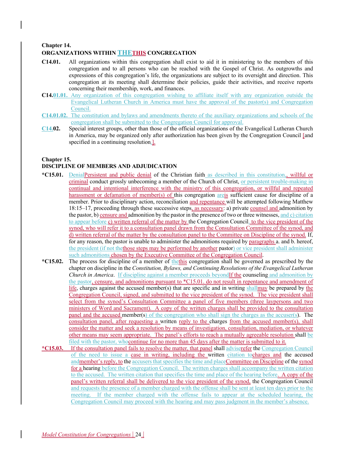### **Chapter 14. ORGANIZATIONS WITHIN THETHIS CONGREGATION**

- **C14.01.** All organizations within this congregation shall exist to aid it in ministering to the members of this congregation and to all persons who can be reached with the Gospel of Christ. As outgrowths and expressions of this congregation's life, the organizations are subject to its oversight and direction. This congregation at its meeting shall determine their policies, guide their activities, and receive reports concerning their membership, work, and finances.
- **C14.01.01.** Any organization of this congregation wishing to affiliate itself with any organization outside the Evangelical Lutheran Church in America must have the approval of the pastor(s) and Congregation Council.
- **C14.01.02.** The constitution and bylaws and amendments thereto of the auxiliary organizations and schools of the congregation shall be submitted to the Congregation Council for approval.
- **C14.02.** Special interest groups, other than those of the official organizations of the Evangelical Lutheran Church in America, may be organized only after authorization has been given by the Congregation Council [and specified in a continuing resolution.].

### **Chapter 15.**

### **DISCIPLINE OF MEMBERS AND ADJUDICATION**

- **\*C15.01.** DenialPersistent and public denial of the Christian faith as described in this constitution,, willful or criminal conduct grossly unbecoming a member of the Church of Christ, or persistent trouble-making in continual and intentional interference with the ministry of this congregation, or willful and repeated harassment or defamation of member(s) of this congregation areis sufficient cause for discipline of a member. Prior to disciplinary action, reconciliation and repentance will be attempted following Matthew 18:15–17, proceeding through these successive steps, as necessary: a) private counsel and admonition by the pastor, b) censure and admonition by the pastor in the presence of two or three witnesses, and  $c)$  citation to appear before c) written referral of the matter by the Congregation Council. to the vice president of the synod, who will refer it to a consultation panel drawn from the Consultation Committee of the synod, and d) written referral of the matter by the consultation panel to the Committee on Discipline of the synod. If, for any reason, the pastor is unable to administer the admonitions required by paragraphs a. and b. hereof, the president (if not the those steps may be performed by another pastor) or vice president shall administer such admonitions chosen by the Executive Committee of the Congregation Council.
- **\*C15.02.** The process for discipline of a member of thethis congregation shall be governed as prescribed by the chapter on discipline in the *Constitution, Bylaws, and Continuing Resolutions of the Evangelical Lutheran Church in America*. If discipline against a member proceeds beyond<sub>If the</sub> counseling and admonition by the pastor, censure, and admonitions pursuant to \*C15.01. do not result in repentance and amendment of life, charges against the accused member(s) that are specific and in writing shallmay be prepared by the Congregation Council, signed, and submitted to the vice president of the synod. The vice president shall select from the synod's Consultation Committee a panel of five members (three laypersons and two ministers of Word and Sacrament). A copy of the written charges shall be provided to the consultation panel and the accused member(s) of the congregation who shall sign the charges as the accuser(s). The consultation panel, after requesting a written reply to the charges from the accused member(s), shall consider the matter and seek a resolution by means of investigation, consultation, mediation, or whatever other means may seem appropriate. The panel's efforts to reach a mutually agreeable resolution shall be filed with the pastor, whocontinue for no more than 45 days after the matter is submitted to it.
- **\*C15.03.** If the consultation panel fails to resolve the matter, that panel shall adviserefer the Congregation Council of the need to issue a case in writing, including the written citation tocharges and the accused andmember's reply, to the accusers that specifies the time and placeCommittee on Discipline of the synod for a hearing before the Congregation Council. The written charges shall accompany the written citation to the accused. The written citation that specifies the time and place of the hearing before. A copy of the panel's written referral shall be delivered to the vice president of the synod, the Congregation Council and requests the presence of a member charged with the offense shall be sent at least ten days prior to the meeting. If the member charged with the offense fails to appear at the scheduled hearing, the Congregation Council may proceed with the hearing and may pass judgment in the member's absence.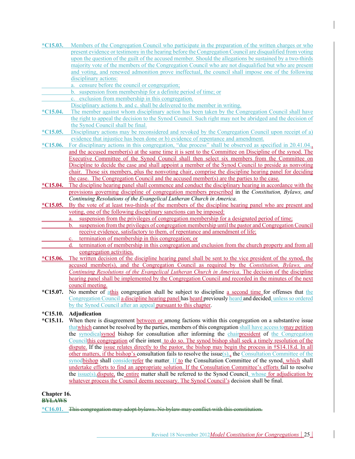- **\*C15.03.** Members of the Congregation Council who participate in the preparation of the written charges or who present evidence or testimony in the hearing before the Congregation Council are disqualified from voting upon the question of the guilt of the accused member. Should the allegations be sustained by a two-thirds majority vote of the members of the Congregation Council who are not disqualified but who are present and voting, and renewed admonition prove ineffectual, the council shall impose one of the following disciplinary actions:
	- a. censure before the council or congregation;
	- b. suspension from membership for a definite period of time; or
	- c. exclusion from membership in this congregation.
	- Disciplinary actions b. and c. shall be delivered to the member in writing.
- **\*C15.04.** The member against whom disciplinary action has been taken by the Congregation Council shall have the right to appeal the decision to the Synod Council. Such right may not be abridged and the decision of the Synod Council shall be final.
- **\*C15.05.** Disciplinary actions may be reconsidered and revoked by the Congregation Council upon receipt of a) evidence that injustice has been done or b) evidence of repentance and amendment.

**\*C15.06.** For disciplinary actions in this congregation, "due process" shall be observed as specified in 20.41.04., and the accused member(s) at the same time it is sent to the Committee on Discipline of the synod. The Executive Committee of the Synod Council shall then select six members from the Committee on Discipline to decide the case and shall appoint a member of the Synod Council to preside as nonvoting chair. Those six members, plus the nonvoting chair, comprise the discipline hearing panel for deciding the case. The Congregation Council and the accused member(s) are the parties to the case.

- **\*C15.04.** The discipline hearing panel shall commence and conduct the disciplinary hearing in accordance with the provisions governing discipline of congregation members prescribed in the *Constitution, Bylaws, and Continuing Resolutions of the Evangelical Lutheran Church in America.*
- **\*C15.05.** By the vote of at least two-thirds of the members of the discipline hearing panel who are present and voting, one of the following disciplinary sanctions can be imposed:
	- a. suspension from the privileges of congregation membership for a designated period of time;
	- b. suspension from the privileges of congregation membership until the pastor and Congregation Council receive evidence, satisfactory to them, of repentance and amendment of life;
	- termination of membership in this congregation; or
	- d. termination of membership in this congregation and exclusion from the church property and from all congregation activities.
- **\*C15.06.** The written decision of the discipline hearing panel shall be sent to the vice president of the synod, the accused member(s), and the Congregation Council as required by the *Constitution, Bylaws, and Continuing Resolutions of the Evangelical Lutheran Church in America*. The decision of the discipline hearing panel shall be implemented by the Congregation Council and recorded in the minutes of the next council meeting.
- **\*C15.07.** No member of athis congregation shall be subject to discipline a second time for offenses that the Congregation Council a discipline hearing panel has heard previously heard and decided, unless so ordered by the Synod Council after an appeal pursuant to this chapter.

### **\*C15.10. Adjudication**

**\*C15.11.** When there is disagreement between or among factions within this congregation on a substantive issue thatwhich cannot be resolved by the parties, members of this congregation shall have access tomay petition the synodicalsynod bishop for consultation after informing the chairpresident of the Congregation Councilthis congregation of their intent. to do so. The synod bishop shall seek a timely resolution of the dispute. If the issue relates directly to the pastor, the bishop may begin the process in †S14.18.d. In all other matters, if the bishop's consultation fails to resolve the issue(s),, the Consultation Committee of the synodbishop shall considerrefer the matter. If to the Consultation Committee of the synod, which shall undertake efforts to find an appropriate solution. If the Consultation Committee's efforts fail to resolve the issue(s),dispute, the entire matter shall be referred to the Synod Council, whose for adjudication by whatever process the Council deems necessary. The Synod Council's decision shall be final.

### **Chapter 16.**

**BYLAWS**

\*C16.01. This congregation may adopt bylaws. No bylaw may conflict with this constituti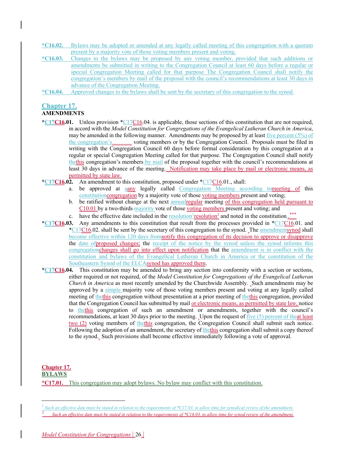**\*C16.02.** Bylaws may be adopted or amended at any legally called meeting of this congregation with a quorum present by a majority vote of those voting members present and voting.

- **\*C16.03.** Changes to the bylaws may be proposed by any voting member, provided that such additions or amendments be submitted in writing to the Congregation Council at least 60 days before a regular or special Congregation Meeting called for that purpose The Congregation Council shall notify the congregation's members by mail of the proposal with the council's recommendations at least 30 days in advance of the Congregation Meeting.
- **\*C16.04.** Approved changes to the bylaws shall be sent by the secretary of this congregation to the synod.

### **Chapter 17.**

### **AMENDMENTS**

- **\*C17C16.01.** Unless provision \*C17C16.04. is applicable, those sections of this constitution that are not required, in accord with the *Model Constitution for Congregations of the Evangelical Lutheran Church in America*, may be amended in the following manner. Amendments may be proposed by at least five percent  $(5\%)$  of the congregation's voting members or by the Congregation Council. Proposals must be filed in writing with the Congregation Council 60 days before formal consideration by this congregation at a regular or special Congregation Meeting called for that purpose. The Congregation Council shall notify thethis congregation's members by mail of the proposal together with the council's recommendations at least 30 days in advance of the meeting. Notification may take place by mail or electronic means, as permitted by state law.
- **\*C17C16.02.** An amendment to this constitution, proposed under \*C17C16.01., shall:
	- a. be approved at aany legally called Congregation Meeting according tomeeting of this constitutioncongregation by a majority vote of those voting members present and voting;
	- b. be ratified without change at the next annualregular meeting of this congregation held pursuant to C10.01 by a two-thirds majority vote of those voting members present and voting; and
	- c. have the effective date included in the resolution  $\frac{1}{2}$  resolution<sup>2</sup> and noted in the constitution...\*\*\*
- **\*C17C16.03.** Any amendments to this constitution that result from the processes provided in \*C17C16.01. and  $*C17C16.02$ . shall be sent by the secretary of this congregation to the synod. The amendmentsynod shall become effective within 120 days fromnotify this congregation of its decision to approve or disapprove the date ofproposed changes; the receipt of the notice by the synod unless the synod informs this congregationchanges shall go into effect upon notification that the amendment is in conflict with the constitution and bylaws of the Evangelical Lutheran Church in America or the constitution of the Southeastern Synod of the ELCAsynod has approved them.
- **\*C17C16.04.** This constitution may be amended to bring any section into conformity with a section or sections, either required or not required, of the *Model Constitution for Congregations of the Evangelical Lutheran Church in America* as most recently amended by the Churchwide Assembly. Such amendments may be approved by a simple majority vote of those voting members present and voting at any legally called meeting of the this congregation without presentation at a prior meeting of the this congregation, provided that the Congregation Council has submitted by mail <u>or electronic means, as permitted by state law,</u> notice to thethis congregation of such an amendment or amendments, together with the council's recommendations, at least 30 days prior to the meeting. Upon the request of five (5) percent of theat least two (2) voting members of thethis congregation, the Congregation Council shall submit such notice. Following the adoption of an amendment, the secretary of the this congregation shall submit a copy thereof to the synod. Such provisions shall become effective immediately following a vote of approval.

#### **Chapter 17. BYLAWS**

**\*C17.01.** This congregation may adopt bylaws. No bylaw may conflict with this constitution.

Such an effective date must be stated in relation to the requirements of \*C17.03. to allow time for synodical review of the amendment.

<sup>2</sup> *Such an effective date must be stated in relation to the requirements of \*C16.03. to allow time for synod review of the amendment.*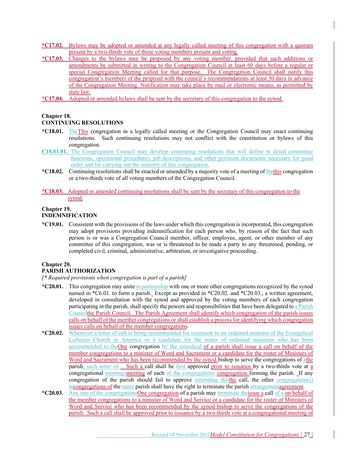- **\*C17.02.** Bylaws may be adopted or amended at any legally called meeting of this congregation with a quorum present by a two-thirds vote of those voting members present and voting.
- **\*C17.03.** Changes to the bylaws may be proposed by any voting member, provided that such additions or amendments be submitted in writing to the Congregation Council at least 60 days before a regular or special Congregation Meeting called for that purpose. The Congregation Council shall notify this congregation's members of the proposal with the council's recommendations at least 30 days in advance of the Congregation Meeting. Notification may take place by mail or electronic means, as permitted by state law.
- **\*C17.04.** Adopted or amended bylaws shall be sent by the secretary of this congregation to the synod.

### **Chapter 18.**

### **CONTINUING RESOLUTIONS**

- **\*C18.01.** TheThis congregation in a legally called meeting or the Congregation Council may enact continuing resolutions. Such continuing resolutions may not conflict with the constitution or bylaws of this congregation.
- **C18.01.01.** The Congregation Council may develop continuing resolutions that will define in detail committee functions, operational procedures, job descriptions, and other pertinent documents necessary for good order and for carrying out the ministry of this congregation.
- **\*C18.02.** Continuing resolutions shall be enacted or amended by a majority vote of a meeting of thethis congregation or a two-thirds vote of all voting members of the Congregation Council.
- **\*C18.03.** Adopted or amended continuing resolutions shall be sent by the secretary of this congregation to the synod.

### **Chapter 19. INDEMNIFICATION**

**\*C19.01.** Consistent with the provisions of the laws under which this congregation is incorporated, this congregation may adopt provisions providing indemnification for each person who, by reason of the fact that such person is or was a Congregation Council member, officer, employee, agent, or other member of any committee of this congregation, was or is threatened to be made a party to any threatened, pending, or completed civil, criminal, administrative, arbitration, or investigative proceeding.

### **Chapter 20.**

### **PARISH AUTHORIZATION**

*[\* Required provisions when congregation is part of a parish]*

- **\*C20.01.** This congregation may unite in partnership with one or more other congregations recognized by the synod named in \*C6.01. to form a parish. Except as provided in \*C20.02. and \*C20.03., a written agreement, developed in consultation with the synod and approved by the voting members of each congregation participating in the parish, shall specify the powers and responsibilities that have been delegated to a Parish Councilthe Parish Council. The Parish Agreement shall identify which congregation of the parish issues calls on behalf of the member congregations or shall establish a process for identifying which congregation issues calls on behalf of the member congregations.
- **\*C20.02.** Whenever a letter of call is being recommended for extension to an ordained minister of the Evangelical Lutheran Church in America or a candidate for the roster of ordained ministers who has been recommended to the One congregation by the synodical of a parish shall issue a call on behalf of the member congregations to a minister of Word and Sacrament or a candidate for the roster of Ministers of Word and Sacrament who has been recommended by the synod bishop to serve the congregations of athe parish, such letter of . Such a call shall be first approved prior to issuance by a two-thirds vote at a congregational meetingsmeeting of each of the congregations congregation forming the parish. If any congregation of the parish should fail to approve extending thisthe call, the other congregation(s) incongregations of the same parish shall have the right to terminate the parish arrangementagreement.
- **\*C20.03.** Any one of the congregationsOne congregation of a parish may terminate theissue a call of a on behalf of the member congregations to a minister of Word and Service or a candidate for the roster of Ministers of Word and Service who has been recommended by the synod bishop to serve the congregations of the parish. Such a call shall be approved prior to issuance by a two-thirds vote at a congregational meeting of